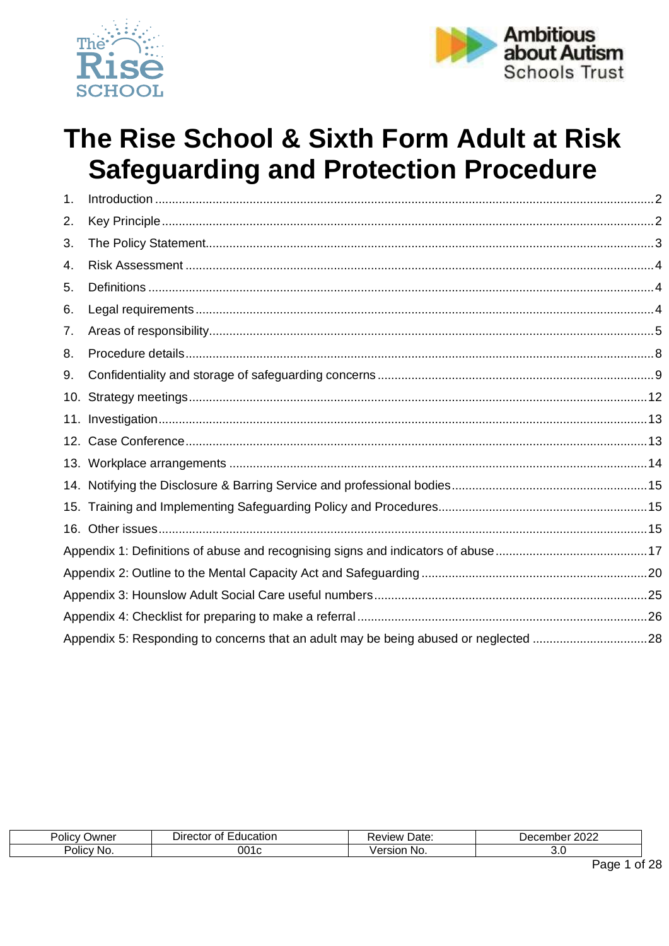



# The Rise School & Sixth Form Adult at Risk **Safeguarding and Protection Procedure**

| 1.  |                                                                                      |  |
|-----|--------------------------------------------------------------------------------------|--|
| 2.  |                                                                                      |  |
| 3.  |                                                                                      |  |
| 4.  |                                                                                      |  |
| 5.  |                                                                                      |  |
| 6.  |                                                                                      |  |
| 7.  |                                                                                      |  |
| 8.  |                                                                                      |  |
| 9.  |                                                                                      |  |
| 10. |                                                                                      |  |
|     |                                                                                      |  |
|     |                                                                                      |  |
|     |                                                                                      |  |
|     |                                                                                      |  |
|     |                                                                                      |  |
|     |                                                                                      |  |
|     |                                                                                      |  |
|     |                                                                                      |  |
|     |                                                                                      |  |
|     |                                                                                      |  |
|     | Appendix 5: Responding to concerns that an adult may be being abused or neglected 28 |  |

| <b>Jwner</b><br>JIIC'     | -ducation<br>Director<br>Οt | Date:<br><b>Tew</b> | 0000<br>، م<br>bel<br>∵ ZUZ∠<br>… ס ש<br>$\sqrt{2}$ |
|---------------------------|-----------------------------|---------------------|-----------------------------------------------------|
| Polic <sup>®</sup><br>NO. |                             | -<br>sıor<br>NC.    |                                                     |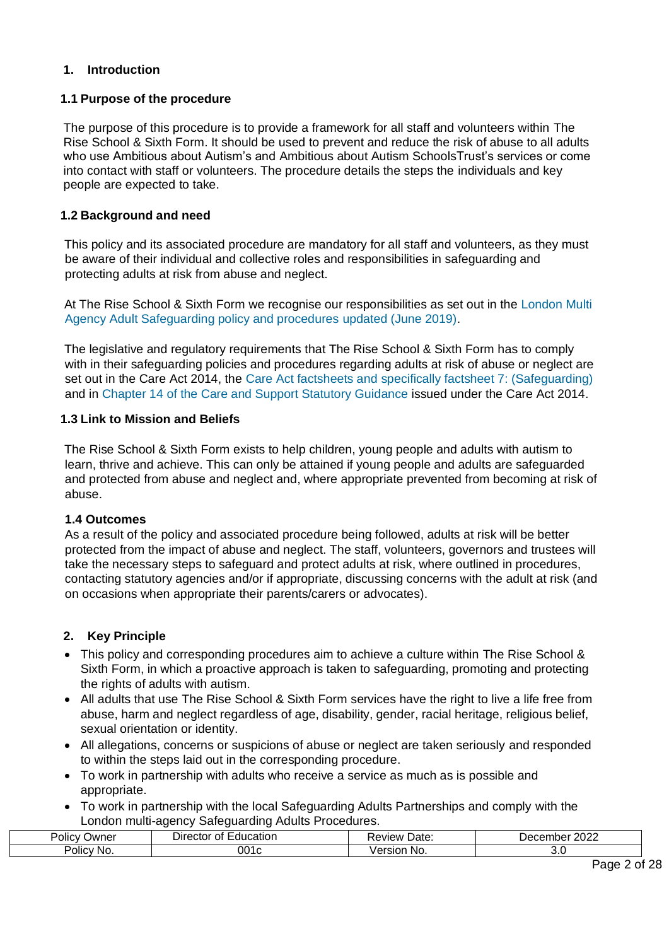#### <span id="page-1-0"></span>**1. Introduction**

#### **1.1 Purpose of the procedure**

The purpose of this procedure is to provide a framework for all staff and volunteers within The Rise School & Sixth Form. It should be used to prevent and reduce the risk of abuse to all adults who use Ambitious about Autism's and Ambitious about Autism SchoolsTrust's services or come into contact with staff or volunteers. The procedure details the steps the individuals and key people are expected to take.

#### **1.2 Background and need**

This policy and its associated procedure are mandatory for all staff and volunteers, as they must be aware of their individual and collective roles and responsibilities in safeguarding and protecting adults at risk from abuse and neglect.

At The Rise School & Sixth Form we recognise our responsibilities as set out in the [London Multi](http://londonadass.org.uk/wp-content/uploads/2015/02/Pan-London-Updated-August-2016.pdf)  [Agency Adult Safeguarding policy and procedures updated \(June 2019\).](http://londonadass.org.uk/wp-content/uploads/2015/02/Pan-London-Updated-August-2016.pdf)

The legislative and regulatory requirements that The Rise School & Sixth Form has to comply with in their safeguarding policies and procedures regarding adults at risk of abuse or neglect are set out in the Care Act 2014, the [Care Act factsheets and specifically factsheet 7: \(Safeguarding\)](https://www.gov.uk/government/publications/care-act-2014-part-1-factsheets/care-act-factsheets#factsheet-7-protecting-adults-from-abuse-or-neglect) and in [Chapter 14 of the Care and Support Statutory Guidance](https://www.gov.uk/government/publications/care-act-statutory-guidance/care-and-support-statutory-guidance) issued under the Care Act 2014.

#### **1.3 Link to Mission and Beliefs**

The Rise School & Sixth Form exists to help children, young people and adults with autism to learn, thrive and achieve. This can only be attained if young people and adults are safeguarded and protected from abuse and neglect and, where appropriate prevented from becoming at risk of abuse.

#### **1.4 Outcomes**

As a result of the policy and associated procedure being followed, adults at risk will be better protected from the impact of abuse and neglect. The staff, volunteers, governors and trustees will take the necessary steps to safeguard and protect adults at risk, where outlined in procedures, contacting statutory agencies and/or if appropriate, discussing concerns with the adult at risk (and on occasions when appropriate their parents/carers or advocates).

# <span id="page-1-1"></span>**2. Key Principle**

- This policy and corresponding procedures aim to achieve a culture within The Rise School & Sixth Form, in which a proactive approach is taken to safeguarding, promoting and protecting the rights of adults with autism.
- All adults that use The Rise School & Sixth Form services have the right to live a life free from abuse, harm and neglect regardless of age, disability, gender, racial heritage, religious belief, sexual orientation or identity.
- All allegations, concerns or suspicions of abuse or neglect are taken seriously and responded to within the steps laid out in the corresponding procedure.
- To work in partnership with adults who receive a service as much as is possible and appropriate.
- To work in partnership with the local Safeguarding Adults Partnerships and comply with the London multi-agency Safeguarding Adults Procedures.

| <br>יסlic⊲<br>Jwner | <br>$\sim$<br>ducation<br>⊃ıre∕<br>calion<br>36 J C J I<br>$\mathbf{u}$ | . .<br>Date:        | $\sim$ $\sim$ $\sim$<br>∠∪∠∠<br><br>$\sim$ $\sim$ $\sim$ $\sim$ |
|---------------------|-------------------------------------------------------------------------|---------------------|-----------------------------------------------------------------|
| olic)<br>NG.        | 001                                                                     | .<br>ING.<br>-31091 |                                                                 |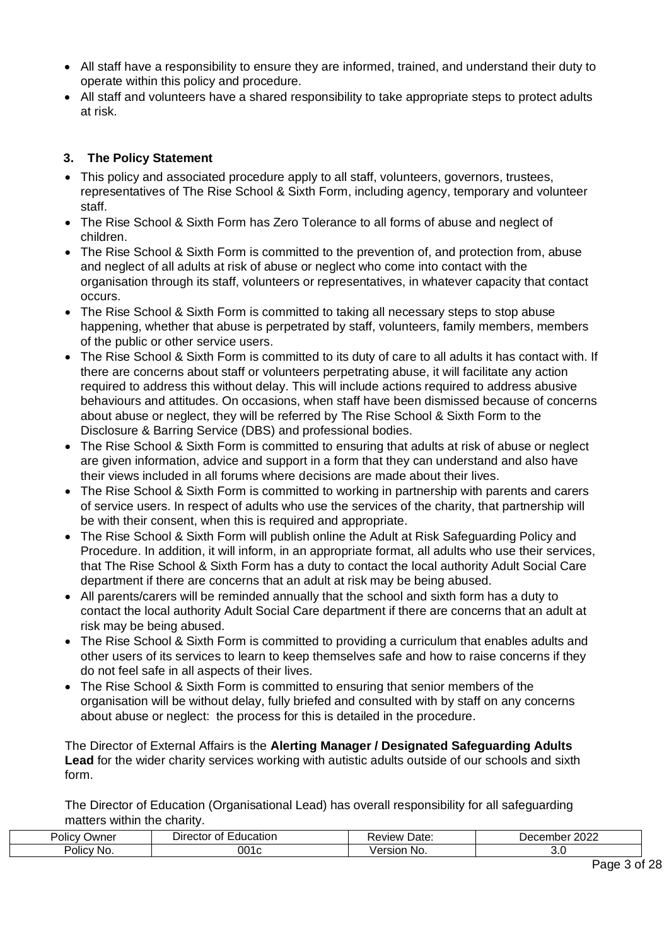- All staff have a responsibility to ensure they are informed, trained, and understand their duty to operate within this policy and procedure.
- All staff and volunteers have a shared responsibility to take appropriate steps to protect adults at risk.

# <span id="page-2-0"></span>**3. The Policy Statement**

- This policy and associated procedure apply to all staff, volunteers, governors, trustees, representatives of The Rise School & Sixth Form, including agency, temporary and volunteer staff.
- The Rise School & Sixth Form has Zero Tolerance to all forms of abuse and neglect of children.
- The Rise School & Sixth Form is committed to the prevention of, and protection from, abuse and neglect of all adults at risk of abuse or neglect who come into contact with the organisation through its staff, volunteers or representatives, in whatever capacity that contact occurs.
- The Rise School & Sixth Form is committed to taking all necessary steps to stop abuse happening, whether that abuse is perpetrated by staff, volunteers, family members, members of the public or other service users.
- The Rise School & Sixth Form is committed to its duty of care to all adults it has contact with. If there are concerns about staff or volunteers perpetrating abuse, it will facilitate any action required to address this without delay. This will include actions required to address abusive behaviours and attitudes. On occasions, when staff have been dismissed because of concerns about abuse or neglect, they will be referred by The Rise School & Sixth Form to the Disclosure & Barring Service (DBS) and professional bodies.
- The Rise School & Sixth Form is committed to ensuring that adults at risk of abuse or neglect are given information, advice and support in a form that they can understand and also have their views included in all forums where decisions are made about their lives.
- The Rise School & Sixth Form is committed to working in partnership with parents and carers of service users. In respect of adults who use the services of the charity, that partnership will be with their consent, when this is required and appropriate.
- The Rise School & Sixth Form will publish online the Adult at Risk Safeguarding Policy and Procedure. In addition, it will inform, in an appropriate format, all adults who use their services, that The Rise School & Sixth Form has a duty to contact the local authority Adult Social Care department if there are concerns that an adult at risk may be being abused.
- All parents/carers will be reminded annually that the school and sixth form has a duty to contact the local authority Adult Social Care department if there are concerns that an adult at risk may be being abused.
- The Rise School & Sixth Form is committed to providing a curriculum that enables adults and other users of its services to learn to keep themselves safe and how to raise concerns if they do not feel safe in all aspects of their lives.
- The Rise School & Sixth Form is committed to ensuring that senior members of the organisation will be without delay, fully briefed and consulted with by staff on any concerns about abuse or neglect: the process for this is detailed in the procedure.

The Director of External Affairs is the **Alerting Manager / Designated Safeguarding Adults Lead** for the wider charity services working with autistic adults outside of our schools and sixth form.

The Director of Education (Organisational Lead) has overall responsibility for all safeguarding matters within the charity.

| -<br>∪wner<br>Polic<br>$\cdot$ | :ducation<br>$D$ irector<br>Ωt | Date<br>∕lev<br>w | 2022<br>ι۵٢<br>noer |
|--------------------------------|--------------------------------|-------------------|---------------------|
| . .<br>Policy<br>' No          | 001                            | N0                | J.U                 |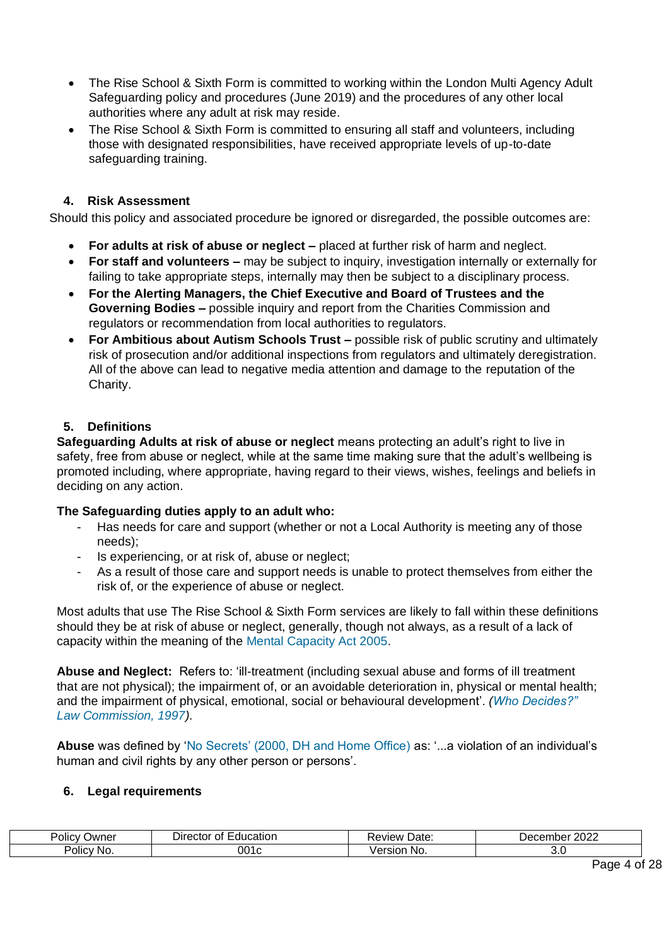- The Rise School & Sixth Form is committed to working within the London Multi Agency Adult Safeguarding policy and procedures (June 2019) and the procedures of any other local authorities where any adult at risk may reside.
- The Rise School & Sixth Form is committed to ensuring all staff and volunteers, including those with designated responsibilities, have received appropriate levels of up-to-date safeguarding training.

# **4. Risk Assessment**

<span id="page-3-0"></span>Should this policy and associated procedure be ignored or disregarded, the possible outcomes are:

- **For adults at risk of abuse or neglect –** placed at further risk of harm and neglect.
- **For staff and volunteers –** may be subject to inquiry, investigation internally or externally for failing to take appropriate steps, internally may then be subject to a disciplinary process.
- **For the Alerting Managers, the Chief Executive and Board of Trustees and the Governing Bodies –** possible inquiry and report from the Charities Commission and regulators or recommendation from local authorities to regulators.
- **For Ambitious about Autism Schools Trust –** possible risk of public scrutiny and ultimately risk of prosecution and/or additional inspections from regulators and ultimately deregistration. All of the above can lead to negative media attention and damage to the reputation of the Charity.

# **5. Definitions**

<span id="page-3-1"></span>**Safeguarding Adults at risk of abuse or neglect** means protecting an adult's right to live in safety, free from abuse or neglect, while at the same time making sure that the adult's wellbeing is promoted including, where appropriate, having regard to their views, wishes, feelings and beliefs in deciding on any action.

# **The Safeguarding duties apply to an adult who:**

- Has needs for care and support (whether or not a Local Authority is meeting any of those needs);
- Is experiencing, or at risk of, abuse or neglect;
- As a result of those care and support needs is unable to protect themselves from either the risk of, or the experience of abuse or neglect.

Most adults that use The Rise School & Sixth Form services are likely to fall within these definitions should they be at risk of abuse or neglect, generally, though not always, as a result of a lack of capacity within the meaning of the [Mental Capacity Act 2005.](http://www.legislation.gov.uk/ukpga/2005/9/contents) 

**Abuse and Neglect:** Refers to: 'ill-treatment (including sexual abuse and forms of ill treatment that are not physical); the impairment of, or an avoidable deterioration in, physical or mental health; and the impairment of physical, emotional, social or behavioural development'. *[\(Who Decides?"](http://webarchive.nationalarchives.gov.uk/+/http:/www.dca.gov.uk/menincap/meninfr.htm)  [Law Commission, 1997\).](http://webarchive.nationalarchives.gov.uk/+/http:/www.dca.gov.uk/menincap/meninfr.htm)* 

**Abuse** was defined by ['No Secrets' \(2000, DH and Home Office\)](https://www.gov.uk/government/publications/no-secrets-guidance-on-protecting-vulnerable-adults-in-care) [a](https://www.gov.uk/government/publications/no-secrets-guidance-on-protecting-vulnerable-adults-in-care)s: '...a violation of an individual's human and civil rights by any other person or persons'.

# **6. Legal requirements**

<span id="page-3-2"></span>

| ⊃wner<br>olic\    | -ducatior<br>0Ť<br>DΠ<br>- CIOL 1 | . .<br>Date:<br>view | ∩∩∩<br>וסטוו<br>LULL |
|-------------------|-----------------------------------|----------------------|----------------------|
| olic <sup>,</sup> | ากา                               | ersior               | ں ، ب                |
| NO.               | .                                 | INO.                 |                      |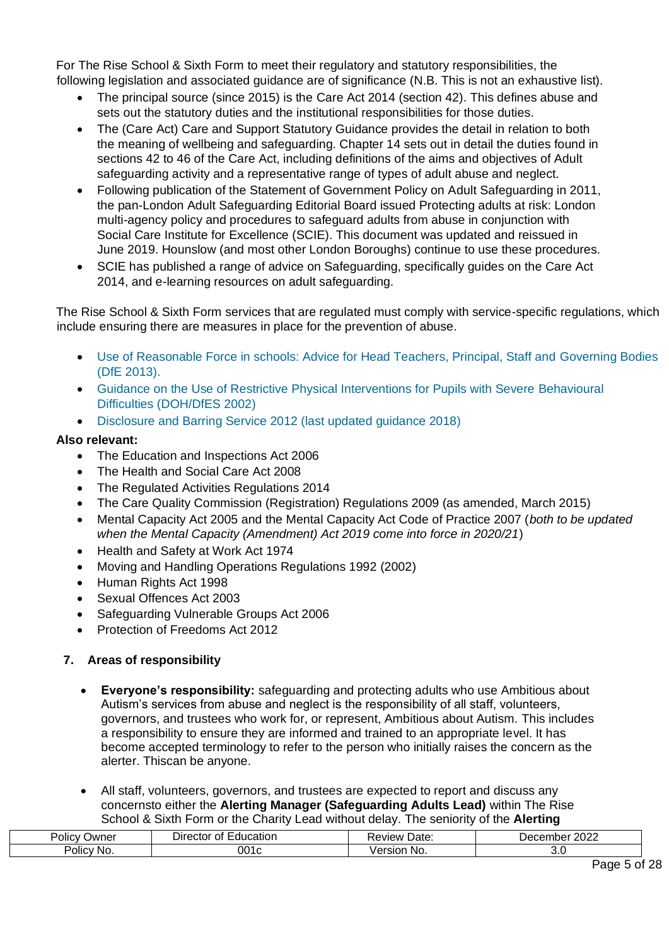For The Rise School & Sixth Form to meet their regulatory and statutory responsibilities, the following legislation and associated guidance are of significance (N.B. This is not an exhaustive list).

- The principal source (since 2015) is the [Care Act 2014 \(section 42\). T](http://www.legislation.gov.uk/ukpga/2014/23/section/42/enacted)his defines abuse and sets out the statutory duties and the institutional responsibilities for those duties.
- The (Care Act) Care and Support Statutory Guidance provides the detail in relation to both the meaning of wellbeing and safeguarding. Chapter 14 sets out in detail the duties found in sections 42 to 46 of the Care Act, including definitions of the aims and objectives of Adult safeguarding activity and a representative range of types of adult abuse and neglect.
- Following publication of the Statement of Government Policy on Adult Safeguarding in 2011, the pan-London Adult Safeguarding Editorial Board issued Protecting adults at risk: London multi-agency policy and procedures to safeguard adults from abuse in conjunction with Social Care Institute for Excellence (SCIE). This document was updated and reissued in June 2019. Hounslow (and most other London Boroughs) continue to use these procedures.
- SCIE has published a range of advice on Safeguarding, specifically guides on the Care Act 2014, and e-learning resources on adult safeguarding.

The Rise School & Sixth Form services that are regulated must comply with service-specific regulations, which include ensuring there are measures in place for the prevention of abuse.

- [Use of Reasonable Force in schools: Advice for Head Teachers, Principal, Staff and Governing Bodies](https://www.gov.uk/government/publications/use-of-reasonable-force-in-schools)  [\(DfE 2013\).](https://www.gov.uk/government/publications/use-of-reasonable-force-in-schools)
- [Guidance on the Use of Restrictive Physical Interventions for Pupils with Severe Behavioural](http://webarchive.nationalarchives.gov.uk/20120503234911/http:/www.dh.gov.uk/prod_consum_dh/groups/dh_digitalassets/@dh/@en/documents/digitalasset/dh_4068461.pdf)  [Difficulties \(DOH/DfES 2002\)](http://webarchive.nationalarchives.gov.uk/20120503234911/http:/www.dh.gov.uk/prod_consum_dh/groups/dh_digitalassets/@dh/@en/documents/digitalasset/dh_4068461.pdf)
- [Disclosure and Barring Service 2012 \(last updated guidance 2018\)](https://www.gov.uk/government/collections/dbs-update-service-promotional-material)

# **Also relevant:**

- The Education and Inspections Act 2006
- The Health and Social Care Act 2008
- The Regulated Activities Regulations 2014
- The Care Quality Commission (Registration) Regulations 2009 (as amended, March 2015)
- Mental Capacity Act 2005 and the Mental Capacity Act Code of Practice 2007 (*both to be updated when the Mental Capacity (Amendment) Act 2019 come into force in 2020/21*)
- Health and Safety at Work Act 1974
- Moving and Handling Operations Regulations 1992 (2002)
- Human Rights Act 1998
- Sexual Offences Act 2003
- Safeguarding Vulnerable Groups Act 2006
- Protection of Freedoms Act 2012

# <span id="page-4-0"></span>**7. Areas of responsibility**

- **Everyone's responsibility:** safeguarding and protecting adults who use Ambitious about Autism's services from abuse and neglect is the responsibility of all staff, volunteers, governors, and trustees who work for, or represent, Ambitious about Autism. This includes a responsibility to ensure they are informed and trained to an appropriate level. It has become accepted terminology to refer to the person who initially raises the concern as the alerter. Thiscan be anyone.
- All staff, volunteers, governors, and trustees are expected to report and discuss any concernsto either the **Alerting Manager (Safeguarding Adults Lead)** within The Rise School & Sixth Form or the Charity Lead without delay. The seniority of the **Alerting**

| שwner<br>'olic∶<br>$\mathbf{v}$ | $\overline{\phantom{0}}$<br>$\sim$<br>:ducation<br>۱۱۲<br>$\cdots$<br>BUUL<br>$\mathbf{U}$ | Date:<br>werve | റററ<br>cempe<br>∠∪∠∠ |
|---------------------------------|--------------------------------------------------------------------------------------------|----------------|----------------------|
| . .<br>olic <sup>,</sup><br>'NG | 001                                                                                        | ersior<br>No.  |                      |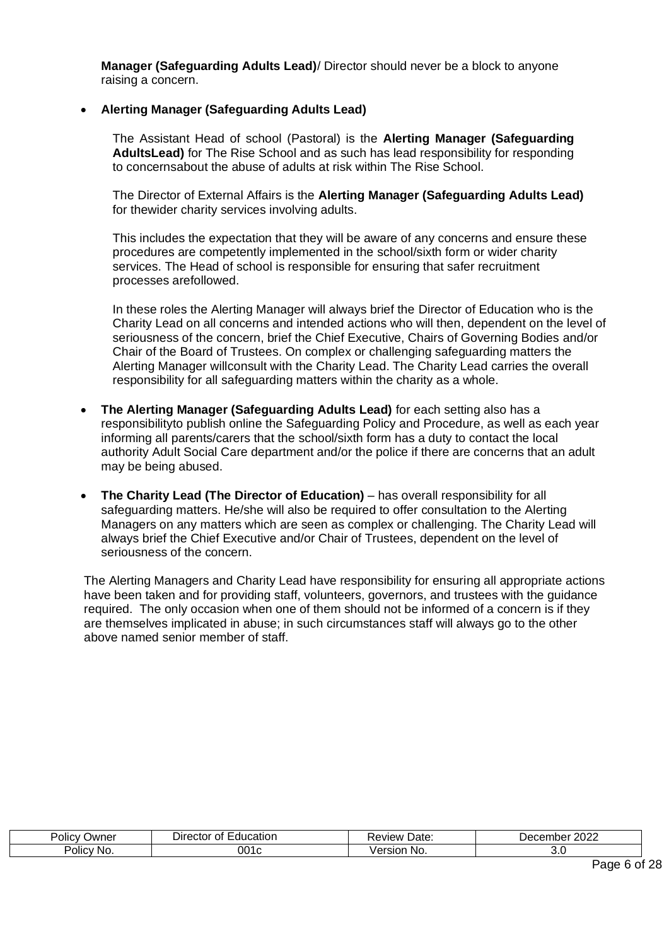**Manager (Safeguarding Adults Lead)**/ Director should never be a block to anyone raising a concern.

#### • **Alerting Manager (Safeguarding Adults Lead)**

The Assistant Head of school (Pastoral) is the **Alerting Manager (Safeguarding AdultsLead)** for The Rise School and as such has lead responsibility for responding to concernsabout the abuse of adults at risk within The Rise School.

The Director of External Affairs is the **Alerting Manager (Safeguarding Adults Lead)**  for thewider charity services involving adults.

This includes the expectation that they will be aware of any concerns and ensure these procedures are competently implemented in the school/sixth form or wider charity services. The Head of school is responsible for ensuring that safer recruitment processes arefollowed.

In these roles the Alerting Manager will always brief the Director of Education who is the Charity Lead on all concerns and intended actions who will then, dependent on the level of seriousness of the concern, brief the Chief Executive, Chairs of Governing Bodies and/or Chair of the Board of Trustees. On complex or challenging safeguarding matters the Alerting Manager willconsult with the Charity Lead. The Charity Lead carries the overall responsibility for all safeguarding matters within the charity as a whole.

- **The Alerting Manager (Safeguarding Adults Lead)** for each setting also has a responsibilityto publish online the Safeguarding Policy and Procedure, as well as each year informing all parents/carers that the school/sixth form has a duty to contact the local authority Adult Social Care department and/or the police if there are concerns that an adult may be being abused.
- **The Charity Lead (The Director of Education)** has overall responsibility for all safeguarding matters. He/she will also be required to offer consultation to the Alerting Managers on any matters which are seen as complex or challenging. The Charity Lead will always brief the Chief Executive and/or Chair of Trustees, dependent on the level of seriousness of the concern.

The Alerting Managers and Charity Lead have responsibility for ensuring all appropriate actions have been taken and for providing staff, volunteers, governors, and trustees with the guidance required. The only occasion when one of them should not be informed of a concern is if they are themselves implicated in abuse; in such circumstances staff will always go to the other above named senior member of staff.

| $\sim$<br>Owner<br>OIIC <sup>1</sup> | --<br>catior<br>JIFF<br>.<br>,,, | Date<br><b>TAW</b> | 2022<br>⊃ecr<br>moer |
|--------------------------------------|----------------------------------|--------------------|----------------------|
| יסווכי<br>NO.                        | 001                              | No.                | v.v                  |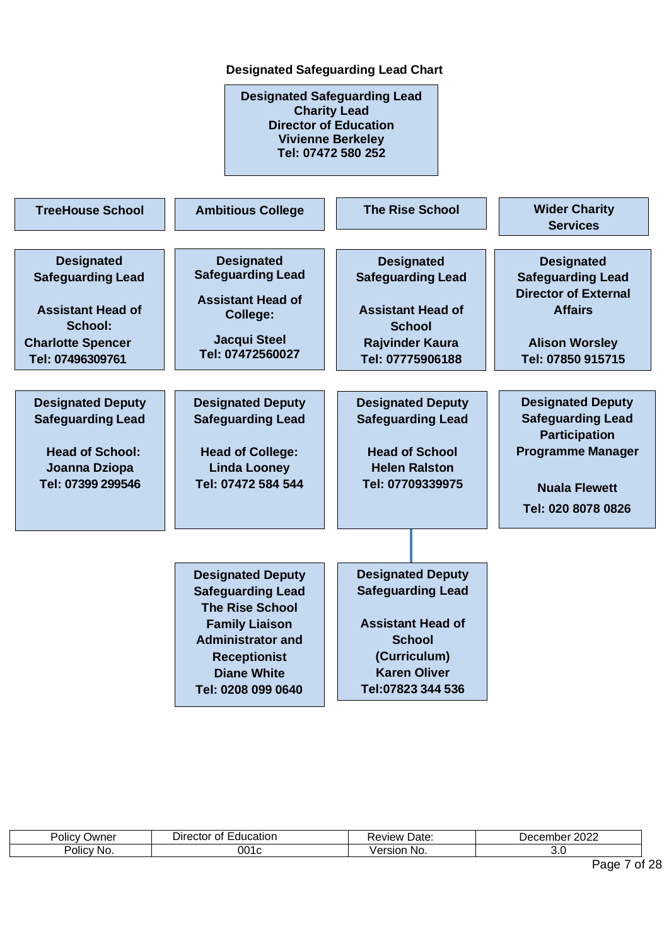# **Designated Safeguarding Lead Chart**

**Designated Safeguarding Lead Charity Lead Director of Education Vivienne Berkeley Tel: 07472 580 252**

| <b>TreeHouse School</b>                                                                                                              | <b>Ambitious College</b>                                                                                                                                                                               | <b>The Rise School</b>                                                                                                                                        | <b>Wider Charity</b><br><b>Services</b>                                                                                                                |
|--------------------------------------------------------------------------------------------------------------------------------------|--------------------------------------------------------------------------------------------------------------------------------------------------------------------------------------------------------|---------------------------------------------------------------------------------------------------------------------------------------------------------------|--------------------------------------------------------------------------------------------------------------------------------------------------------|
| <b>Designated</b><br><b>Safeguarding Lead</b><br><b>Assistant Head of</b><br>School:<br><b>Charlotte Spencer</b><br>Tel: 07496309761 | <b>Designated</b><br><b>Safeguarding Lead</b><br><b>Assistant Head of</b><br>College:<br><b>Jacqui Steel</b><br>Tel: 07472560027                                                                       | <b>Designated</b><br><b>Safeguarding Lead</b><br><b>Assistant Head of</b><br><b>School</b><br><b>Rajvinder Kaura</b><br>Tel: 07775906188                      | <b>Designated</b><br><b>Safeguarding Lead</b><br><b>Director of External</b><br><b>Affairs</b><br><b>Alison Worsley</b><br>Tel: 07850 915715           |
| <b>Designated Deputy</b><br><b>Safeguarding Lead</b><br><b>Head of School:</b><br>Joanna Dziopa<br>Tel: 07399 299546                 | <b>Designated Deputy</b><br><b>Safeguarding Lead</b><br><b>Head of College:</b><br><b>Linda Looney</b><br>Tel: 07472 584 544                                                                           | <b>Designated Deputy</b><br><b>Safeguarding Lead</b><br><b>Head of School</b><br><b>Helen Ralston</b><br>Tel: 07709339975                                     | <b>Designated Deputy</b><br><b>Safeguarding Lead</b><br><b>Participation</b><br><b>Programme Manager</b><br><b>Nuala Flewett</b><br>Tel: 020 8078 0826 |
|                                                                                                                                      | <b>Designated Deputy</b><br><b>Safeguarding Lead</b><br><b>The Rise School</b><br><b>Family Liaison</b><br><b>Administrator and</b><br><b>Receptionist</b><br><b>Diane White</b><br>Tel: 0208 099 0640 | <b>Designated Deputy</b><br><b>Safeguarding Lead</b><br><b>Assistant Head of</b><br><b>School</b><br>(Curriculum)<br><b>Karen Oliver</b><br>Tel:07823 344 536 |                                                                                                                                                        |

| -<br>שwner<br>JIIC'        | ducation<br>Jireg<br>. .еног т<br>111 O I<br>IJ | ∍vıew<br>Date: | 0000<br>.<br>TIDE<br>. .<br>ا <del>ص</del> د<br>LULL |
|----------------------------|-------------------------------------------------|----------------|------------------------------------------------------|
| . .<br>-<br>Policy<br>'NG. |                                                 | sior<br>NO.    | J.J                                                  |

Page 7 of 28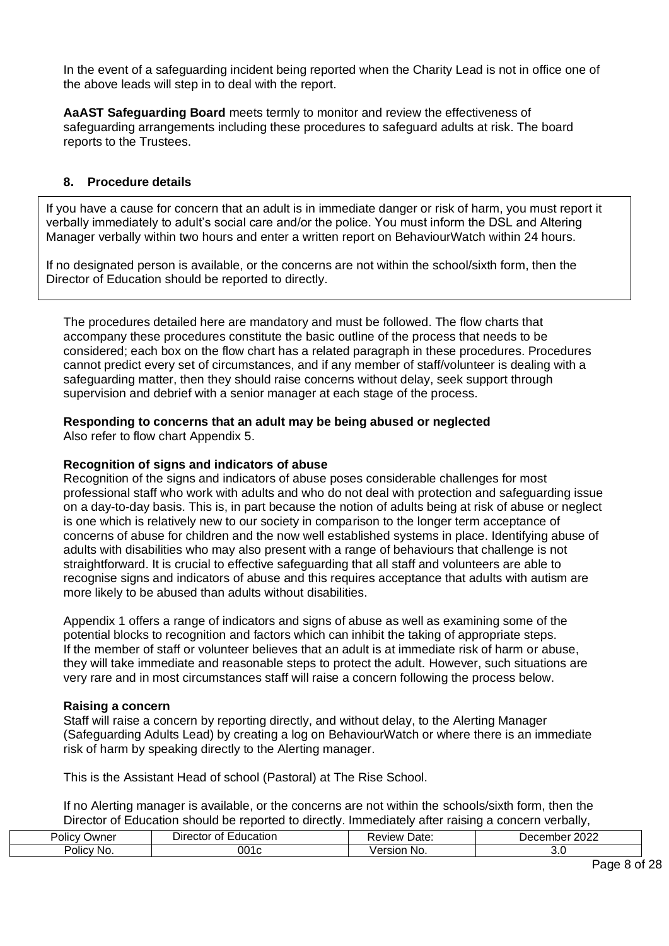In the event of a safeguarding incident being reported when the Charity Lead is not in office one of the above leads will step in to deal with the report.

**AaAST Safeguarding Board** meets termly to monitor and review the effectiveness of safeguarding arrangements including these procedures to safeguard adults at risk. The board reports to the Trustees.

#### **8. Procedure details**

<span id="page-7-0"></span>If you have a cause for concern that an adult is in immediate danger or risk of harm, you must report it verbally immediately to adult's social care and/or the police. You must inform the DSL and Altering Manager verbally within two hours and enter a written report on BehaviourWatch within 24 hours.

If no designated person is available, or the concerns are not within the school/sixth form, then the Director of Education should be reported to directly.

The procedures detailed here are mandatory and must be followed. The flow charts that accompany these procedures constitute the basic outline of the process that needs to be considered; each box on the flow chart has a related paragraph in these procedures. Procedures cannot predict every set of circumstances, and if any member of staff/volunteer is dealing with a safeguarding matter, then they should raise concerns without delay, seek support through supervision and debrief with a senior manager at each stage of the process.

#### **Responding to concerns that an adult may be being abused or neglected**

Also refer to flow chart Appendix 5.

#### **Recognition of signs and indicators of abuse**

Recognition of the signs and indicators of abuse poses considerable challenges for most professional staff who work with adults and who do not deal with protection and safeguarding issue on a day-to-day basis. This is, in part because the notion of adults being at risk of abuse or neglect is one which is relatively new to our society in comparison to the longer term acceptance of concerns of abuse for children and the now well established systems in place. Identifying abuse of adults with disabilities who may also present with a range of behaviours that challenge is not straightforward. It is crucial to effective safeguarding that all staff and volunteers are able to recognise signs and indicators of abuse and this requires acceptance that adults with autism are more likely to be abused than adults without disabilities.

Appendix 1 offers a range of indicators and signs of abuse as well as examining some of the potential blocks to recognition and factors which can inhibit the taking of appropriate steps. If the member of staff or volunteer believes that an adult is at immediate risk of harm or abuse, they will take immediate and reasonable steps to protect the adult. However, such situations are very rare and in most circumstances staff will raise a concern following the process below.

#### **Raising a concern**

Staff will raise a concern by reporting directly, and without delay, to the Alerting Manager (Safeguarding Adults Lead) by creating a log on BehaviourWatch or where there is an immediate risk of harm by speaking directly to the Alerting manager.

This is the Assistant Head of school (Pastoral) at The Rise School.

If no Alerting manager is available, or the concerns are not within the schools/sixth form, then the Director of Education should be reported to directly. Immediately after raising a concern verbally,

| -<br>$\cdot$<br>Jwnei<br>olic<br>$\mathbf{v}$ | ----<br>cation<br>Jire<br>ΩТ<br>זו ור<br>лог | iview<br>Uate.                                    | $\sim$ $\sim$ $\sim$<br>----<br>יחבו<br>ים<br>noer<br>SUZZ<br>. |
|-----------------------------------------------|----------------------------------------------|---------------------------------------------------|-----------------------------------------------------------------|
| POIIC"<br>NO.                                 | 00                                           | $\overline{\phantom{a}}$<br>- - --<br>No.<br>sior | J.J                                                             |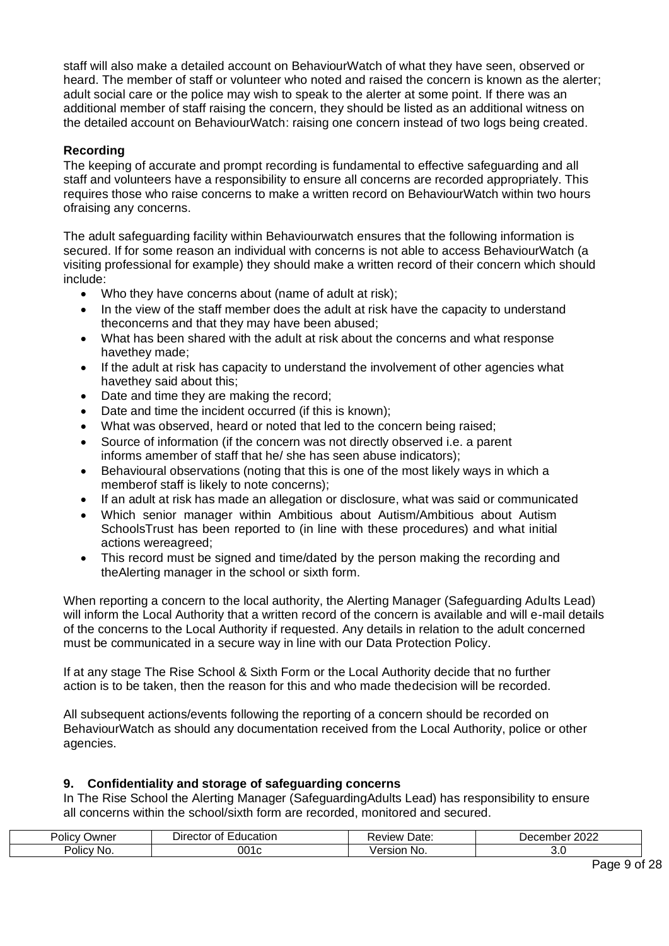staff will also make a detailed account on BehaviourWatch of what they have seen, observed or heard. The member of staff or volunteer who noted and raised the concern is known as the alerter; adult social care or the police may wish to speak to the alerter at some point. If there was an additional member of staff raising the concern, they should be listed as an additional witness on the detailed account on BehaviourWatch: raising one concern instead of two logs being created.

#### **Recording**

The keeping of accurate and prompt recording is fundamental to effective safeguarding and all staff and volunteers have a responsibility to ensure all concerns are recorded appropriately. This requires those who raise concerns to make a written record on BehaviourWatch within two hours ofraising any concerns.

The adult safeguarding facility within Behaviourwatch ensures that the following information is secured. If for some reason an individual with concerns is not able to access BehaviourWatch (a visiting professional for example) they should make a written record of their concern which should include:

- Who they have concerns about (name of adult at risk);
- In the view of the staff member does the adult at risk have the capacity to understand theconcerns and that they may have been abused;
- What has been shared with the adult at risk about the concerns and what response havethey made;
- If the adult at risk has capacity to understand the involvement of other agencies what havethey said about this;
- Date and time they are making the record;
- Date and time the incident occurred (if this is known);
- What was observed, heard or noted that led to the concern being raised;
- Source of information (if the concern was not directly observed i.e. a parent informs amember of staff that he/ she has seen abuse indicators);
- Behavioural observations (noting that this is one of the most likely ways in which a memberof staff is likely to note concerns);
- If an adult at risk has made an allegation or disclosure, what was said or communicated
- Which senior manager within Ambitious about Autism/Ambitious about Autism SchoolsTrust has been reported to (in line with these procedures) and what initial actions wereagreed;
- This record must be signed and time/dated by the person making the recording and theAlerting manager in the school or sixth form.

When reporting a concern to the local authority, the Alerting Manager (Safeguarding Adults Lead) will inform the Local Authority that a written record of the concern is available and will e-mail details of the concerns to the Local Authority if requested. Any details in relation to the adult concerned must be communicated in a secure way in line with our Data Protection Policy.

If at any stage The Rise School & Sixth Form or the Local Authority decide that no further action is to be taken, then the reason for this and who made thedecision will be recorded.

All subsequent actions/events following the reporting of a concern should be recorded on BehaviourWatch as should any documentation received from the Local Authority, police or other agencies.

#### <span id="page-8-0"></span>**9. Confidentiality and storage of safeguarding concerns**

In The Rise School the Alerting Manager (SafeguardingAdults Lead) has responsibility to ensure all concerns within the school/sixth form are recorded, monitored and secured.

| . .<br>Policy<br><b>Jwner</b> | -----<br>---<br>Ωt<br>⊃ıre<br>.auc<br>ıcatıon<br>сюг | Date:<br>:view       | ∩∩∩<br>Je<br>IINCI<br>LULL |
|-------------------------------|------------------------------------------------------|----------------------|----------------------------|
| <b>POIICV</b><br>No.          | າ01ເ                                                 | ---<br>sior<br>- NG. | ◡.◡                        |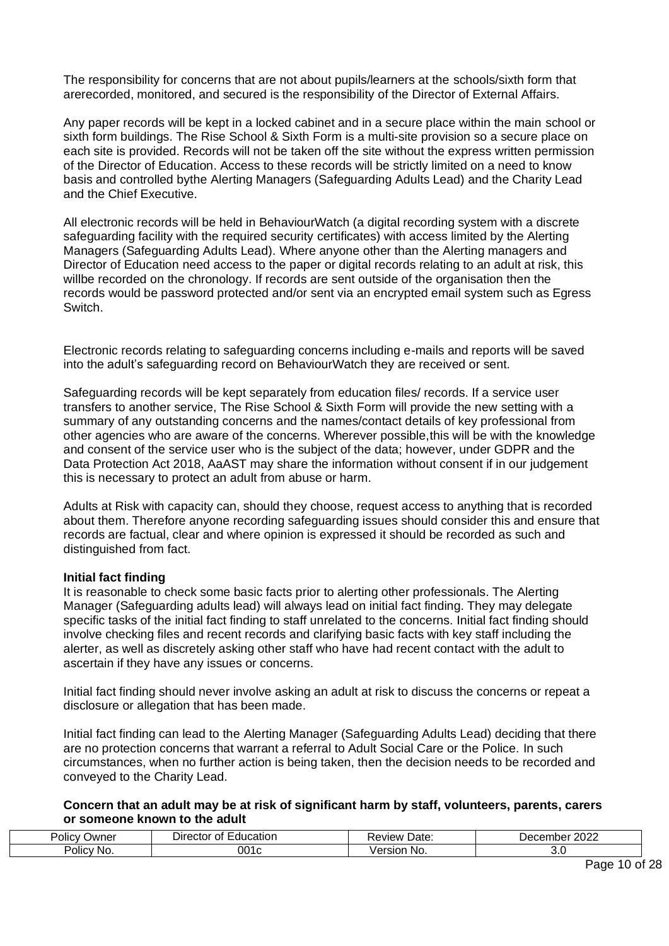The responsibility for concerns that are not about pupils/learners at the schools/sixth form that arerecorded, monitored, and secured is the responsibility of the Director of External Affairs.

Any paper records will be kept in a locked cabinet and in a secure place within the main school or sixth form buildings. The Rise School & Sixth Form is a multi-site provision so a secure place on each site is provided. Records will not be taken off the site without the express written permission of the Director of Education. Access to these records will be strictly limited on a need to know basis and controlled bythe Alerting Managers (Safeguarding Adults Lead) and the Charity Lead and the Chief Executive.

All electronic records will be held in BehaviourWatch (a digital recording system with a discrete safeguarding facility with the required security certificates) with access limited by the Alerting Managers (Safeguarding Adults Lead). Where anyone other than the Alerting managers and Director of Education need access to the paper or digital records relating to an adult at risk, this willbe recorded on the chronology. If records are sent outside of the organisation then the records would be password protected and/or sent via an encrypted email system such as Egress Switch.

Electronic records relating to safeguarding concerns including e-mails and reports will be saved into the adult's safeguarding record on BehaviourWatch they are received or sent.

Safeguarding records will be kept separately from education files/ records. If a service user transfers to another service, The Rise School & Sixth Form will provide the new setting with a summary of any outstanding concerns and the names/contact details of key professional from other agencies who are aware of the concerns. Wherever possible,this will be with the knowledge and consent of the service user who is the subject of the data; however, under GDPR and the Data Protection Act 2018, AaAST may share the information without consent if in our judgement this is necessary to protect an adult from abuse or harm.

Adults at Risk with capacity can, should they choose, request access to anything that is recorded about them. Therefore anyone recording safeguarding issues should consider this and ensure that records are factual, clear and where opinion is expressed it should be recorded as such and distinguished from fact.

#### **Initial fact finding**

It is reasonable to check some basic facts prior to alerting other professionals. The Alerting Manager (Safeguarding adults lead) will always lead on initial fact finding. They may delegate specific tasks of the initial fact finding to staff unrelated to the concerns. Initial fact finding should involve checking files and recent records and clarifying basic facts with key staff including the alerter, as well as discretely asking other staff who have had recent contact with the adult to ascertain if they have any issues or concerns.

Initial fact finding should never involve asking an adult at risk to discuss the concerns or repeat a disclosure or allegation that has been made.

Initial fact finding can lead to the Alerting Manager (Safeguarding Adults Lead) deciding that there are no protection concerns that warrant a referral to Adult Social Care or the Police. In such circumstances, when no further action is being taken, then the decision needs to be recorded and conveyed to the Charity Lead.

#### **Concern that an adult may be at risk of significant harm by staff, volunteers, parents, carers or someone known to the adult**

| .<br>-<br>⊃wner<br>Polic | -ducatior<br>0Ť<br>۱۳<br>эстог | Date<br>101.<br>∕ı⇔w | റററ<br>$\overline{\phantom{a}}$<br>'''''<br>◡▵ |
|--------------------------|--------------------------------|----------------------|------------------------------------------------|
| olic <sup>1</sup><br>-NG | יי                             | .<br>NG.             |                                                |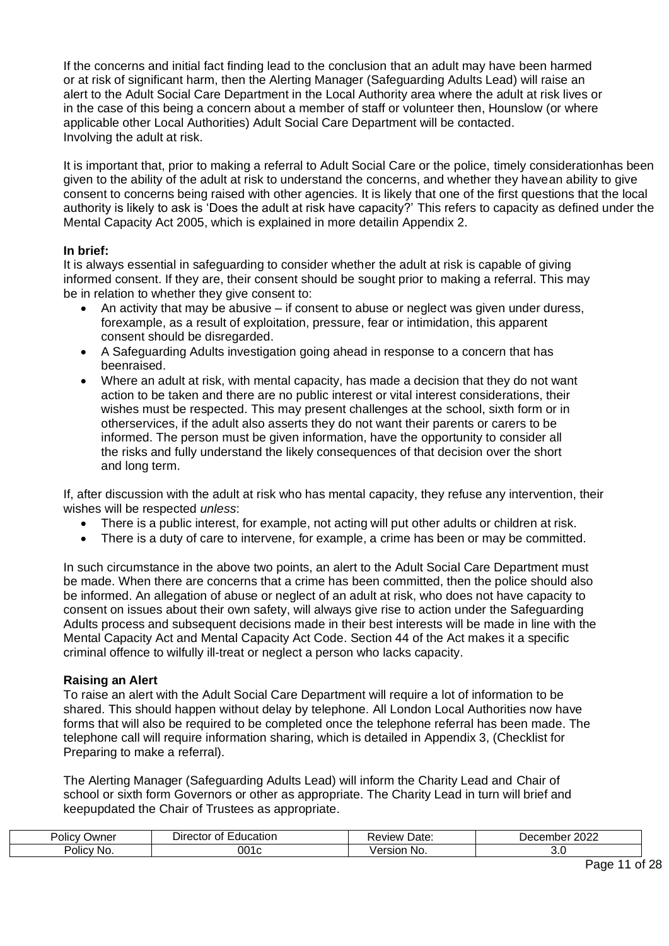If the concerns and initial fact finding lead to the conclusion that an adult may have been harmed or at risk of significant harm, then the Alerting Manager (Safeguarding Adults Lead) will raise an alert to the Adult Social Care Department in the Local Authority area where the adult at risk lives or in the case of this being a concern about a member of staff or volunteer then, Hounslow (or where applicable other Local Authorities) Adult Social Care Department will be contacted. Involving the adult at risk.

It is important that, prior to making a referral to Adult Social Care or the police, timely considerationhas been given to the ability of the adult at risk to understand the concerns, and whether they havean ability to give consent to concerns being raised with other agencies. It is likely that one of the first questions that the local authority is likely to ask is 'Does the adult at risk have capacity?' This refers to capacity as defined under the Mental Capacity Act 2005, which is explained in more detailin Appendix 2.

#### **In brief:**

It is always essential in safeguarding to consider whether the adult at risk is capable of giving informed consent. If they are, their consent should be sought prior to making a referral. This may be in relation to whether they give consent to:

- An activity that may be abusive  $-$  if consent to abuse or neglect was given under duress, forexample, as a result of exploitation, pressure, fear or intimidation, this apparent consent should be disregarded.
- A Safeguarding Adults investigation going ahead in response to a concern that has beenraised.
- Where an adult at risk, with mental capacity, has made a decision that they do not want action to be taken and there are no public interest or vital interest considerations, their wishes must be respected. This may present challenges at the school, sixth form or in otherservices, if the adult also asserts they do not want their parents or carers to be informed. The person must be given information, have the opportunity to consider all the risks and fully understand the likely consequences of that decision over the short and long term.

If, after discussion with the adult at risk who has mental capacity, they refuse any intervention, their wishes will be respected *unless*:

- There is a public interest, for example, not acting will put other adults or children at risk.
- There is a duty of care to intervene, for example, a crime has been or may be committed.

In such circumstance in the above two points, an alert to the Adult Social Care Department must be made. When there are concerns that a crime has been committed, then the police should also be informed. An allegation of abuse or neglect of an adult at risk, who does not have capacity to consent on issues about their own safety, will always give rise to action under the Safeguarding Adults process and subsequent decisions made in their best interests will be made in line with the Mental Capacity Act and Mental Capacity Act Code. Section 44 of the Act makes it a specific criminal offence to wilfully ill-treat or neglect a person who lacks capacity.

#### **Raising an Alert**

To raise an alert with the Adult Social Care Department will require a lot of information to be shared. This should happen without delay by telephone. All London Local Authorities now have forms that will also be required to be completed once the telephone referral has been made. The telephone call will require information sharing, which is detailed in Appendix 3, (Checklist for Preparing to make a referral).

The Alerting Manager (Safeguarding Adults Lead) will inform the Charity Lead and Chair of school or sixth form Governors or other as appropriate. The Charity Lead in turn will brief and keepupdated the Chair of Trustees as appropriate.

| <br>Polic <sup>,</sup><br>⊃wner | :ducation<br>ΩŤ<br>Jire<br>ctor | Date<br>AVIAM | nnnn<br>nber<br>Jer<br>oι<br>LULL<br>. |
|---------------------------------|---------------------------------|---------------|----------------------------------------|
| $\cdots$<br>olicv-<br>NO.       | 001c                            | No.<br>ersion | J.U                                    |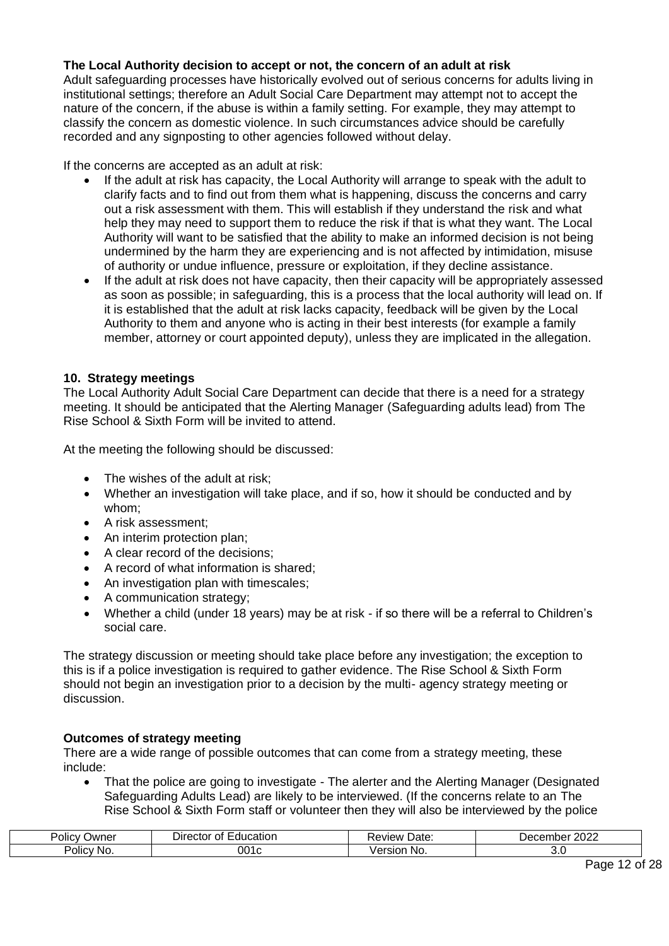# **The Local Authority decision to accept or not, the concern of an adult at risk**

Adult safeguarding processes have historically evolved out of serious concerns for adults living in institutional settings; therefore an Adult Social Care Department may attempt not to accept the nature of the concern, if the abuse is within a family setting. For example, they may attempt to classify the concern as domestic violence. In such circumstances advice should be carefully recorded and any signposting to other agencies followed without delay.

If the concerns are accepted as an adult at risk:

- If the adult at risk has capacity, the Local Authority will arrange to speak with the adult to clarify facts and to find out from them what is happening, discuss the concerns and carry out a risk assessment with them. This will establish if they understand the risk and what help they may need to support them to reduce the risk if that is what they want. The Local Authority will want to be satisfied that the ability to make an informed decision is not being undermined by the harm they are experiencing and is not affected by intimidation, misuse of authority or undue influence, pressure or exploitation, if they decline assistance.
- If the adult at risk does not have capacity, then their capacity will be appropriately assessed as soon as possible; in safeguarding, this is a process that the local authority will lead on. If it is established that the adult at risk lacks capacity, feedback will be given by the Local Authority to them and anyone who is acting in their best interests (for example a family member, attorney or court appointed deputy), unless they are implicated in the allegation.

# <span id="page-11-0"></span>**10. Strategy meetings**

The Local Authority Adult Social Care Department can decide that there is a need for a strategy meeting. It should be anticipated that the Alerting Manager (Safeguarding adults lead) from The Rise School & Sixth Form will be invited to attend.

At the meeting the following should be discussed:

- The wishes of the adult at risk;
- Whether an investigation will take place, and if so, how it should be conducted and by whom;
- A risk assessment;
- An interim protection plan:
- A clear record of the decisions;
- A record of what information is shared;
- An investigation plan with timescales;
- A communication strategy;
- Whether a child (under 18 years) may be at risk if so there will be a referral to Children's social care.

The strategy discussion or meeting should take place before any investigation; the exception to this is if a police investigation is required to gather evidence. The Rise School & Sixth Form should not begin an investigation prior to a decision by the multi- agency strategy meeting or discussion.

#### **Outcomes of strategy meeting**

There are a wide range of possible outcomes that can come from a strategy meeting, these include:

• That the police are going to investigate - The alerter and the Alerting Manager (Designated Safeguarding Adults Lead) are likely to be interviewed. (If the concerns relate to an The Rise School & Sixth Form staff or volunteer then they will also be interviewed by the police

| יסווכ׳<br>⊃wner       | 0t<br>:ducation<br>Jirec<br>лог | . .<br>Date:<br>view<br>w | 0000<br>Decembe<br>ZUZZ |
|-----------------------|---------------------------------|---------------------------|-------------------------|
| . .<br>Policy<br>∸No. | ገበ1<br>JU<br>''                 | ING.                      |                         |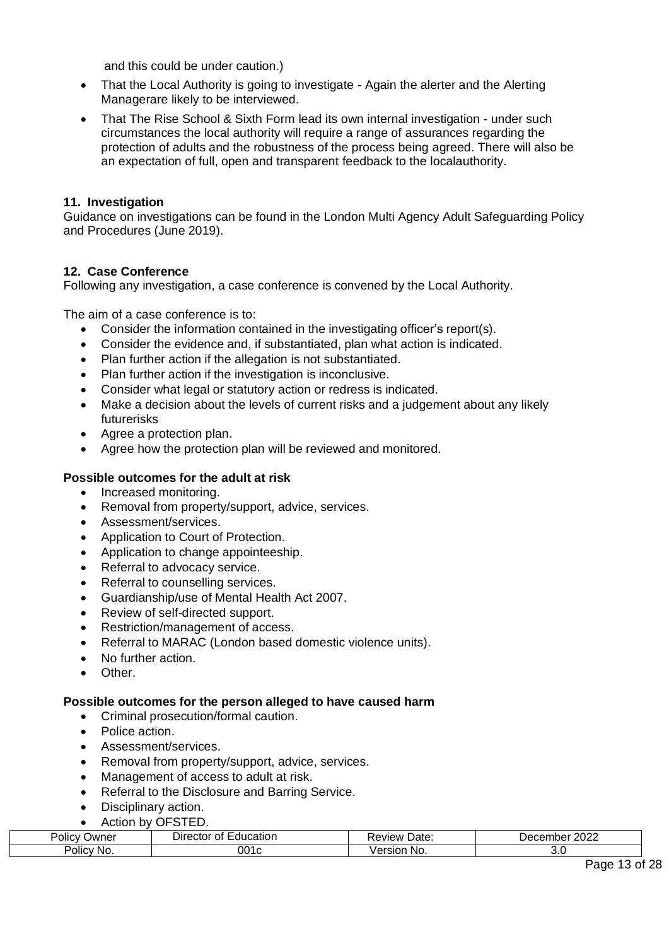and this could be under caution.)

- That the Local Authority is going to investigate Again the alerter and the Alerting Managerare likely to be interviewed.
- That The Rise School & Sixth Form lead its own internal investigation under such circumstances the local authority will require a range of assurances regarding the protection of adults and the robustness of the process being agreed. There will also be an expectation of full, open and transparent feedback to the localauthority.

# <span id="page-12-0"></span>**11. Investigation**

Guidance on investigations can be found in the London Multi Agency Adult Safeguarding Policy and Procedures (June 2019).

#### <span id="page-12-1"></span>**12. Case Conference**

Following any investigation, a case conference is convened by the Local Authority.

The aim of a case conference is to:

- Consider the information contained in the investigating officer's report(s).
- Consider the evidence and, if substantiated, plan what action is indicated.
- Plan further action if the allegation is not substantiated.
- Plan further action if the investigation is inconclusive.
- Consider what legal or statutory action or redress is indicated.
- Make a decision about the levels of current risks and a judgement about any likely futurerisks
- Agree a protection plan.
- Agree how the protection plan will be reviewed and monitored.

#### **Possible outcomes for the adult at risk**

- Increased monitoring.
- Removal from property/support, advice, services.
- Assessment/services.
- Application to Court of Protection.
- Application to change appointeeship.
- Referral to advocacy service.
- Referral to counselling services.
- Guardianship/use of Mental Health Act 2007.
- Review of self-directed support.
- Restriction/management of access.
- Referral to MARAC (London based domestic violence units).
- No further action.
- Other.

#### **Possible outcomes for the person alleged to have caused harm**

- Criminal prosecution/formal caution.
- Police action.
- Assessment/services.
- Removal from property/support, advice, services.
- Management of access to adult at risk.
- Referral to the Disclosure and Barring Service.
- Disciplinary action.
- Action by OFSTED.

| )wner<br>$\overline{\phantom{a}}$<br>OIIC | C<br>Jire<br>…ror ⊆<br>41 I C<br>. . | $- + -$<br>Dale | $\cdots$<br>$-1$<br>``<br>∠∪∠ |
|-------------------------------------------|--------------------------------------|-----------------|-------------------------------|
| -<br>Polic,<br>NG.                        | 001                                  | -------<br>INO. | いい                            |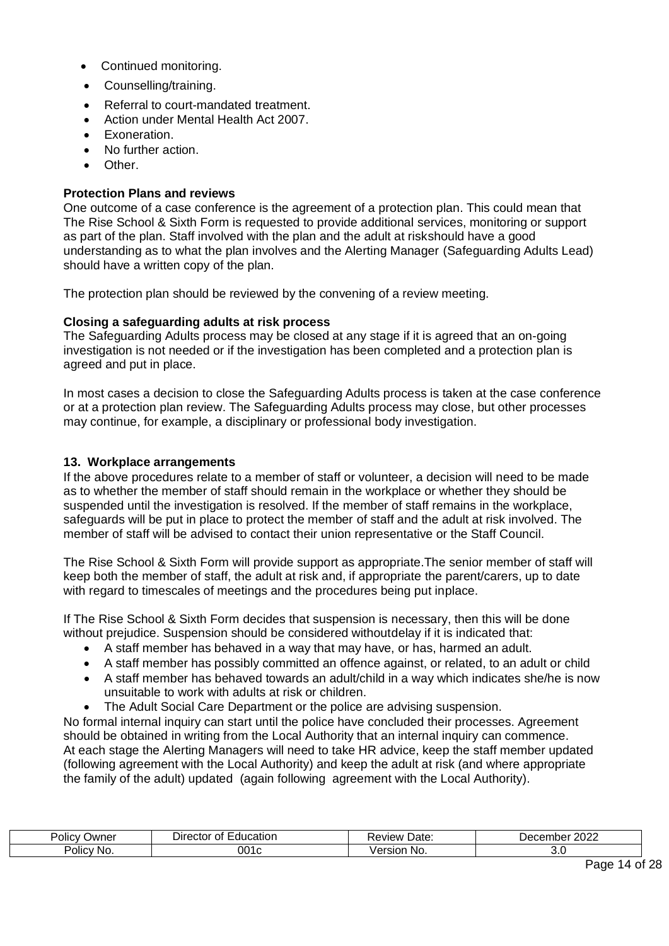- Continued monitoring.
- Counselling/training.
- Referral to court-mandated treatment.
- Action under Mental Health Act 2007.
- Exoneration.
- No further action.
- Other.

### **Protection Plans and reviews**

One outcome of a case conference is the agreement of a protection plan. This could mean that The Rise School & Sixth Form is requested to provide additional services, monitoring or support as part of the plan. Staff involved with the plan and the adult at riskshould have a good understanding as to what the plan involves and the Alerting Manager (Safeguarding Adults Lead) should have a written copy of the plan.

The protection plan should be reviewed by the convening of a review meeting.

#### **Closing a safeguarding adults at risk process**

The Safeguarding Adults process may be closed at any stage if it is agreed that an on-going investigation is not needed or if the investigation has been completed and a protection plan is agreed and put in place.

In most cases a decision to close the Safeguarding Adults process is taken at the case conference or at a protection plan review. The Safeguarding Adults process may close, but other processes may continue, for example, a disciplinary or professional body investigation.

#### <span id="page-13-0"></span>**13. Workplace arrangements**

If the above procedures relate to a member of staff or volunteer, a decision will need to be made as to whether the member of staff should remain in the workplace or whether they should be suspended until the investigation is resolved. If the member of staff remains in the workplace, safeguards will be put in place to protect the member of staff and the adult at risk involved. The member of staff will be advised to contact their union representative or the Staff Council.

The Rise School & Sixth Form will provide support as appropriate.The senior member of staff will keep both the member of staff, the adult at risk and, if appropriate the parent/carers, up to date with regard to timescales of meetings and the procedures being put inplace.

If The Rise School & Sixth Form decides that suspension is necessary, then this will be done without prejudice. Suspension should be considered withoutdelay if it is indicated that:

- A staff member has behaved in a way that may have, or has, harmed an adult.
- A staff member has possibly committed an offence against, or related, to an adult or child
- A staff member has behaved towards an adult/child in a way which indicates she/he is now unsuitable to work with adults at risk or children.
- The Adult Social Care Department or the police are advising suspension.

No formal internal inquiry can start until the police have concluded their processes. Agreement should be obtained in writing from the Local Authority that an internal inquiry can commence. At each stage the Alerting Managers will need to take HR advice, keep the staff member updated (following agreement with the Local Authority) and keep the adult at risk (and where appropriate the family of the adult) updated (again following agreement with the Local Authority).

| . .<br>⊃wner<br><b>POLICY</b> | _<br>. .<br>catior<br>$-$<br>Dπ<br>olle<br>70. JUN<br>$\mathbf{u}$<br>. | 'Jate.<br>/IAV   | $\sim$<br>. er<br>— — —<br>uoe:<br>LULL |
|-------------------------------|-------------------------------------------------------------------------|------------------|-----------------------------------------|
| Polic'<br>NO.                 | ่ 001                                                                   | No.<br>- -<br>יי |                                         |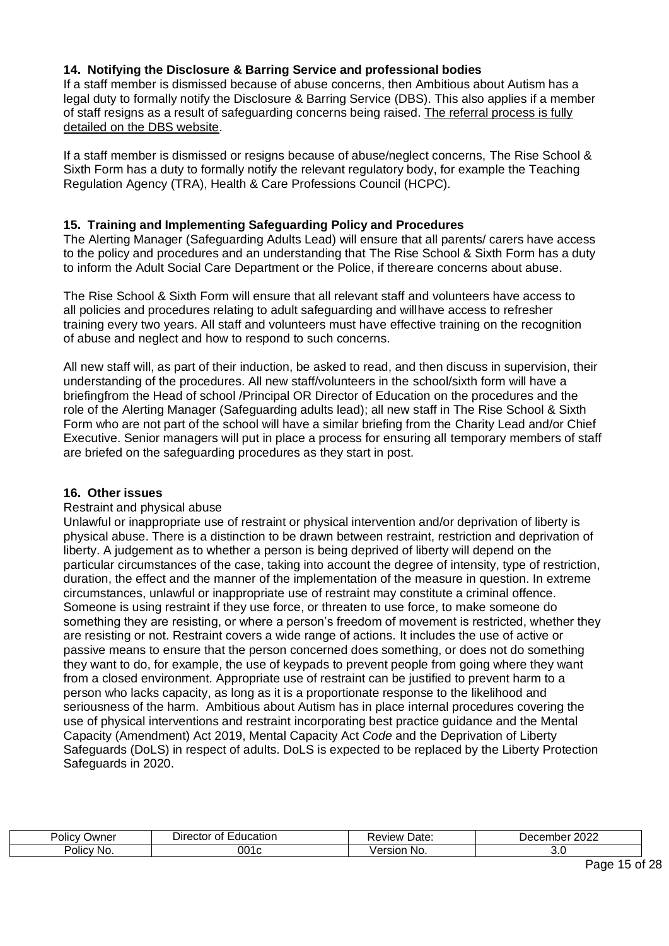# <span id="page-14-0"></span>**14. Notifying the Disclosure & Barring Service and professional bodies**

If a staff member is dismissed because of abuse concerns, then Ambitious about Autism has a legal duty to formally notify the Disclosure & Barring Service (DBS). This also applies if a member of staff resigns as a result of safeguarding concerns being raised. The referral process is fully detailed on the DBS website.

If a staff member is dismissed or resigns because of abuse/neglect concerns, The Rise School & Sixth Form has a duty to formally notify the relevant regulatory body, for example the Teaching Regulation Agency (TRA), Health & Care Professions Council (HCPC).

# <span id="page-14-1"></span>**15. Training and Implementing Safeguarding Policy and Procedures**

The Alerting Manager (Safeguarding Adults Lead) will ensure that all parents/ carers have access to the policy and procedures and an understanding that The Rise School & Sixth Form has a duty to inform the Adult Social Care Department or the Police, if thereare concerns about abuse.

The Rise School & Sixth Form will ensure that all relevant staff and volunteers have access to all policies and procedures relating to adult safeguarding and willhave access to refresher training every two years. All staff and volunteers must have effective training on the recognition of abuse and neglect and how to respond to such concerns.

All new staff will, as part of their induction, be asked to read, and then discuss in supervision, their understanding of the procedures. All new staff/volunteers in the school/sixth form will have a briefingfrom the Head of school /Principal OR Director of Education on the procedures and the role of the Alerting Manager (Safeguarding adults lead); all new staff in The Rise School & Sixth Form who are not part of the school will have a similar briefing from the Charity Lead and/or Chief Executive. Senior managers will put in place a process for ensuring all temporary members of staff are briefed on the safeguarding procedures as they start in post.

#### <span id="page-14-2"></span>**16. Other issues**

#### Restraint and physical abuse

Unlawful or inappropriate use of restraint or physical intervention and/or deprivation of liberty is physical abuse. There is a distinction to be drawn between restraint, restriction and deprivation of liberty. A judgement as to whether a person is being deprived of liberty will depend on the particular circumstances of the case, taking into account the degree of intensity, type of restriction, duration, the effect and the manner of the implementation of the measure in question. In extreme circumstances, unlawful or inappropriate use of restraint may constitute a criminal offence. Someone is using restraint if they use force, or threaten to use force, to make someone do something they are resisting, or where a person's freedom of movement is restricted, whether they are resisting or not. Restraint covers a wide range of actions. It includes the use of active or passive means to ensure that the person concerned does something, or does not do something they want to do, for example, the use of keypads to prevent people from going where they want from a closed environment. Appropriate use of restraint can be justified to prevent harm to a person who lacks capacity, as long as it is a proportionate response to the likelihood and seriousness of the harm. Ambitious about Autism has in place internal procedures covering the use of physical interventions and restraint incorporating best practice guidance and the Mental Capacity (Amendment) Act 2019, Mental Capacity Act *Code* and the Deprivation of Liberty Safeguards (DoLS) in respect of adults. DoLS is expected to be replaced by the Liberty Protection Safeguards in 2020.

| . .<br>⊃wner<br>'olıc | . .<br>--<br>Direc<br>ятк<br>ector | Date:<br>, eview : | 2022<br>Decer<br>nbel |
|-----------------------|------------------------------------|--------------------|-----------------------|
| olic)<br>NG.          | 001 c                              | NO.                | J.J                   |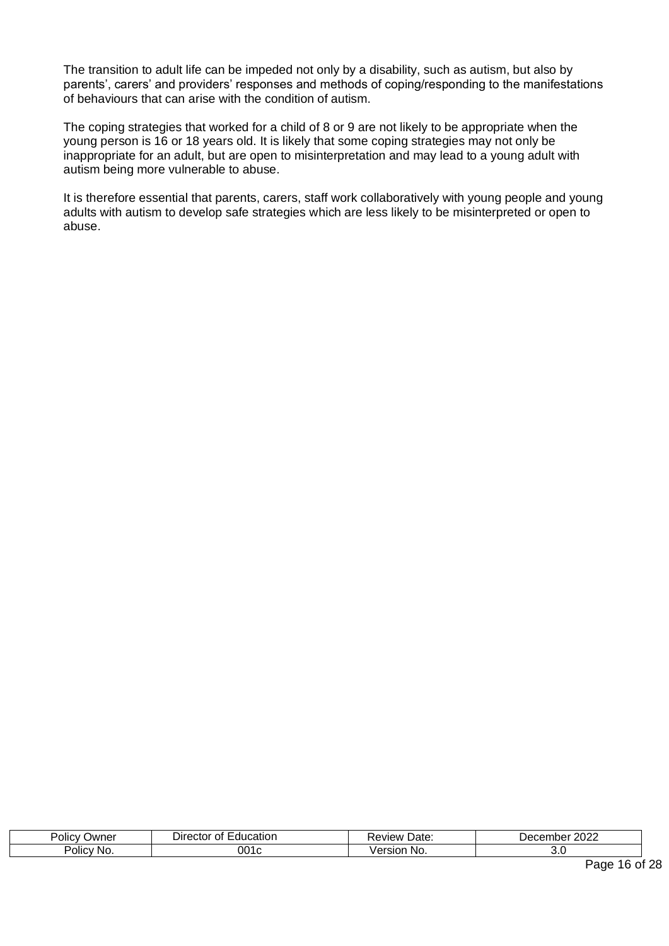The transition to adult life can be impeded not only by a disability, such as autism, but also by parents', carers' and providers' responses and methods of coping/responding to the manifestations of behaviours that can arise with the condition of autism.

The coping strategies that worked for a child of 8 or 9 are not likely to be appropriate when the young person is 16 or 18 years old. It is likely that some coping strategies may not only be inappropriate for an adult, but are open to misinterpretation and may lead to a young adult with autism being more vulnerable to abuse.

It is therefore essential that parents, carers, staff work collaboratively with young people and young adults with autism to develop safe strategies which are less likely to be misinterpreted or open to abuse.

| . .<br>-<br><b>Jwner</b><br>Polic | atıon<br>Direct<br>n.<br>:tor<br>ור<br>٠Ι۱ | Uate.<br>:view | 2022<br>≀∩י<br>пре<br>∵ יס ש<br>$\sqrt{2}$ |
|-----------------------------------|--------------------------------------------|----------------|--------------------------------------------|
| JIIC'<br>.NC                      | 001                                        | NO.            | ັ.                                         |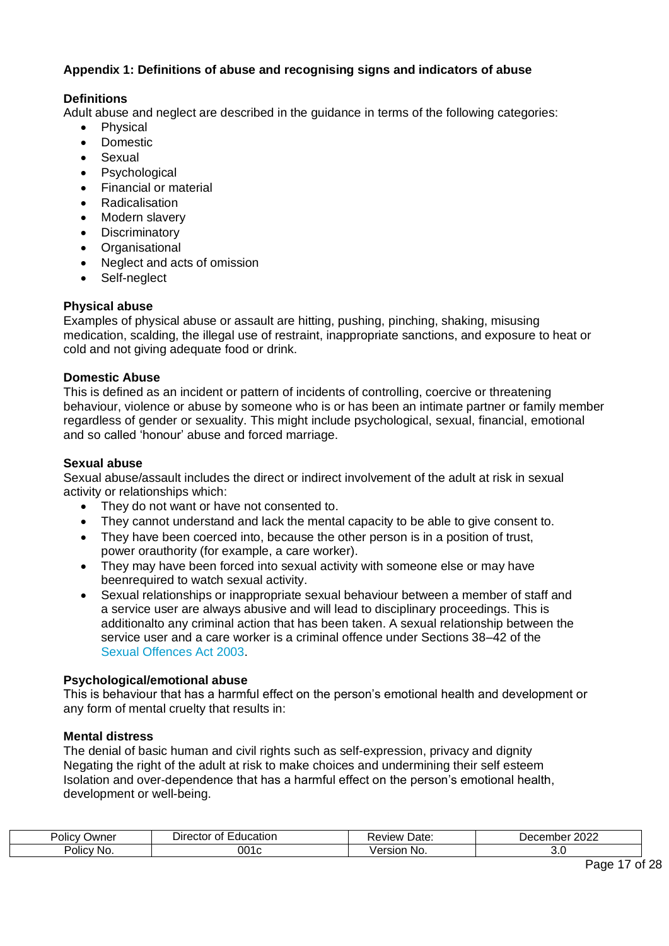# <span id="page-16-0"></span>**Appendix 1: Definitions of abuse and recognising signs and indicators of abuse**

# **Definitions**

Adult abuse and neglect are described in the guidance in terms of the following categories:

- Physical
- Domestic
- Sexual
- Psychological
- Financial or material
- Radicalisation
- Modern slavery
- Discriminatory
- Organisational
- Neglect and acts of omission
- Self-neglect

# **Physical abuse**

Examples of physical abuse or assault are hitting, pushing, pinching, shaking, misusing medication, scalding, the illegal use of restraint, inappropriate sanctions, and exposure to heat or cold and not giving adequate food or drink.

#### **Domestic Abuse**

This is defined as an incident or pattern of incidents of controlling, coercive or threatening behaviour, violence or abuse by someone who is or has been an intimate partner or family member regardless of gender or sexuality. This might include psychological, sexual, financial, emotional and so called 'honour' abuse and forced marriage.

#### **Sexual abuse**

Sexual abuse/assault includes the direct or indirect involvement of the adult at risk in sexual activity or relationships which:

- They do not want or have not consented to.
- They cannot understand and lack the mental capacity to be able to give consent to.
- They have been coerced into, because the other person is in a position of trust, power orauthority (for example, a care worker).
- They may have been forced into sexual activity with someone else or may have beenrequired to watch sexual activity.
- Sexual relationships or inappropriate sexual behaviour between a member of staff and a service user are always abusive and will lead to disciplinary proceedings. This is additionalto any criminal action that has been taken. A sexual relationship between the service user and a care worker is a criminal offence under Sections 38–42 of the [Sexual Offences Act](http://www.legislation.gov.uk/ukpga/2003/42/contents) [2003.](http://www.legislation.gov.uk/ukpga/2003/42/contents)

#### **Psychological/emotional abuse**

This is behaviour that has a harmful effect on the person's emotional health and development or any form of mental cruelty that results in:

# **Mental distress**

The denial of basic human and civil rights such as self-expression, privacy and dignity Negating the right of the adult at risk to make choices and undermining their self esteem Isolation and over-dependence that has a harmful effect on the person's emotional health, development or well-being.

| -<br>Policy<br>)wne | ucatior<br>0t<br>Jire.<br>. :TOL<br>ווח | Date:<br>keview: | 0000<br>Je (<br>∼⊓lbo.<br>ZUZZ, |
|---------------------|-----------------------------------------|------------------|---------------------------------|
| <br>Policy No.      | 001                                     | -No.<br>510      | ັບ.ບ                            |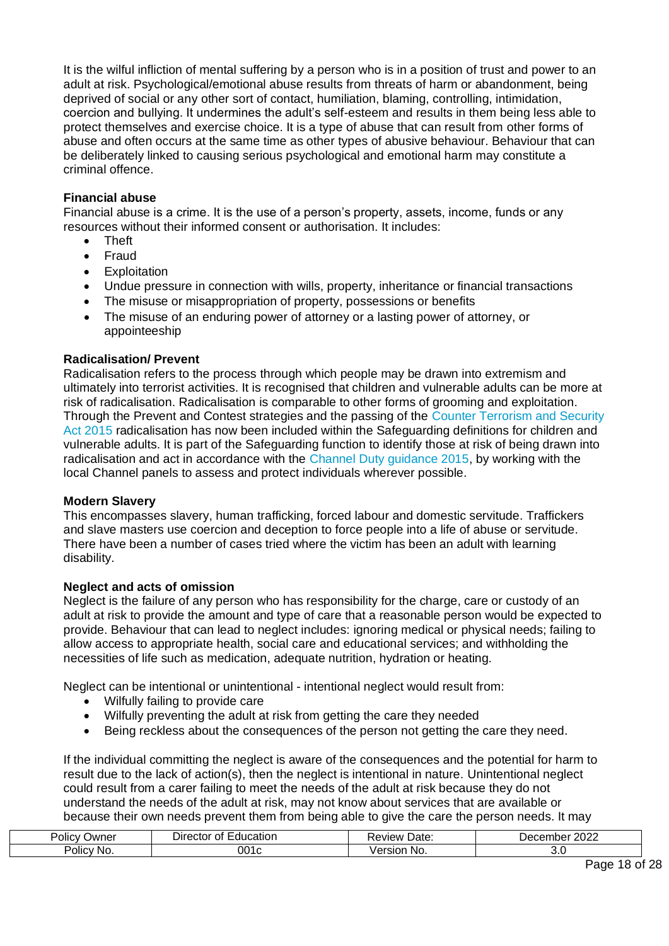It is the wilful infliction of mental suffering by a person who is in a position of trust and power to an adult at risk. Psychological/emotional abuse results from threats of harm or abandonment, being deprived of social or any other sort of contact, humiliation, blaming, controlling, intimidation, coercion and bullying. It undermines the adult's self-esteem and results in them being less able to protect themselves and exercise choice. It is a type of abuse that can result from other forms of abuse and often occurs at the same time as other types of abusive behaviour. Behaviour that can be deliberately linked to causing serious psychological and emotional harm may constitute a criminal offence.

#### **Financial abuse**

Financial abuse is a crime. It is the use of a person's property, assets, income, funds or any resources without their informed consent or authorisation. It includes:

- Theft
- Fraud
- Exploitation
- Undue pressure in connection with wills, property, inheritance or financial transactions
- The misuse or misappropriation of property, possessions or benefits
- The misuse of an enduring power of attorney or a lasting power of attorney, or appointeeship

#### **Radicalisation/ Prevent**

Radicalisation refers to the process through which people may be drawn into extremism and ultimately into terrorist activities. It is recognised that children and vulnerable adults can be more at risk of radicalisation. Radicalisation is comparable to other forms of grooming and exploitation. Through the Prevent and Contest strategies and the passing of the [Counter Terrorism and Security](http://www.legislation.gov.uk/ukpga/2015/6/contents/enacted) [Act 2015 r](http://www.legislation.gov.uk/ukpga/2015/6/contents/enacted)adicalisation has now been included within the Safeguarding definitions for children and vulnerable adults. It is part of the Safeguarding function to identify those at risk of being drawn into radicalisation and act in accordance with the [Channel Duty guidance 2015,](https://www.gov.uk/government/publications/channel-guidance) by working with the local Channel panels to assess and protect individuals wherever possible.

#### **Modern Slavery**

This encompasses slavery, human trafficking, forced labour and domestic servitude. Traffickers and slave masters use coercion and deception to force people into a life of abuse or servitude. There have been a number of cases tried where the victim has been an adult with learning disability.

#### **Neglect and acts of omission**

Neglect is the failure of any person who has responsibility for the charge, care or custody of an adult at risk to provide the amount and type of care that a reasonable person would be expected to provide. Behaviour that can lead to neglect includes: ignoring medical or physical needs; failing to allow access to appropriate health, social care and educational services; and withholding the necessities of life such as medication, adequate nutrition, hydration or heating.

Neglect can be intentional or unintentional - intentional neglect would result from:

- Wilfully failing to provide care
- Wilfully preventing the adult at risk from getting the care they needed
- Being reckless about the consequences of the person not getting the care they need.

If the individual committing the neglect is aware of the consequences and the potential for harm to result due to the lack of action(s), then the neglect is intentional in nature. Unintentional neglect could result from a carer failing to meet the needs of the adult at risk because they do not understand the needs of the adult at risk, may not know about services that are available or because their own needs prevent them from being able to give the care the person needs. It may

| ' <sup>J</sup> Olic∨<br>שמעΩ | ⊃irector<br>cation<br>auc:<br>…ror ∩⊺ | Date:<br>eview                     | ∩∩∩<br>-----<br>nber<br>Jec.<br>2022 |
|------------------------------|---------------------------------------|------------------------------------|--------------------------------------|
| <br>Policy<br>∵No.           | 001<br>יי                             | $\sim$ $\sim$<br>No.<br>rsior<br>. | J.U                                  |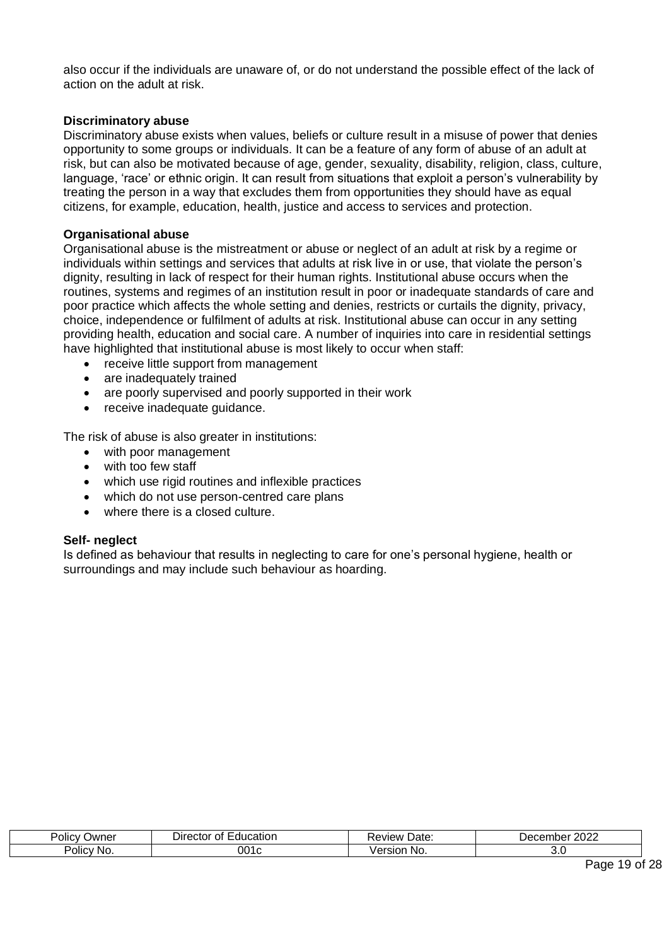also occur if the individuals are unaware of, or do not understand the possible effect of the lack of action on the adult at risk.

#### **Discriminatory abuse**

Discriminatory abuse exists when values, beliefs or culture result in a misuse of power that denies opportunity to some groups or individuals. It can be a feature of any form of abuse of an adult at risk, but can also be motivated because of age, gender, sexuality, disability, religion, class, culture, language, 'race' or ethnic origin. It can result from situations that exploit a person's vulnerability by treating the person in a way that excludes them from opportunities they should have as equal citizens, for example, education, health, justice and access to services and protection.

#### **Organisational abuse**

Organisational abuse is the mistreatment or abuse or neglect of an adult at risk by a regime or individuals within settings and services that adults at risk live in or use, that violate the person's dignity, resulting in lack of respect for their human rights. Institutional abuse occurs when the routines, systems and regimes of an institution result in poor or inadequate standards of care and poor practice which affects the whole setting and denies, restricts or curtails the dignity, privacy, choice, independence or fulfilment of adults at risk. Institutional abuse can occur in any setting providing health, education and social care. A number of inquiries into care in residential settings have highlighted that institutional abuse is most likely to occur when staff:

- receive little support from management
- are inadequately trained
- are poorly supervised and poorly supported in their work
- receive inadequate guidance.

The risk of abuse is also greater in institutions:

- with poor management
- with too few staff
- which use rigid routines and inflexible practices
- which do not use person-centred care plans
- where there is a closed culture.

#### **Self- neglect**

Is defined as behaviour that results in neglecting to care for one's personal hygiene, health or surroundings and may include such behaviour as hoarding.

| . .<br>-<br>Policy<br>Owner | ıcatıor<br>Director ∟<br>0t<br>. 11 IC<br>. .com<br>. | Date:<br>Review | . nnnc<br>ember '<br>. Jec<br>∙∩m<br>∠∪∠∠ |
|-----------------------------|-------------------------------------------------------|-----------------|-------------------------------------------|
| Polic"<br>'No.              | 001c                                                  | ersion<br>N0.   | v.                                        |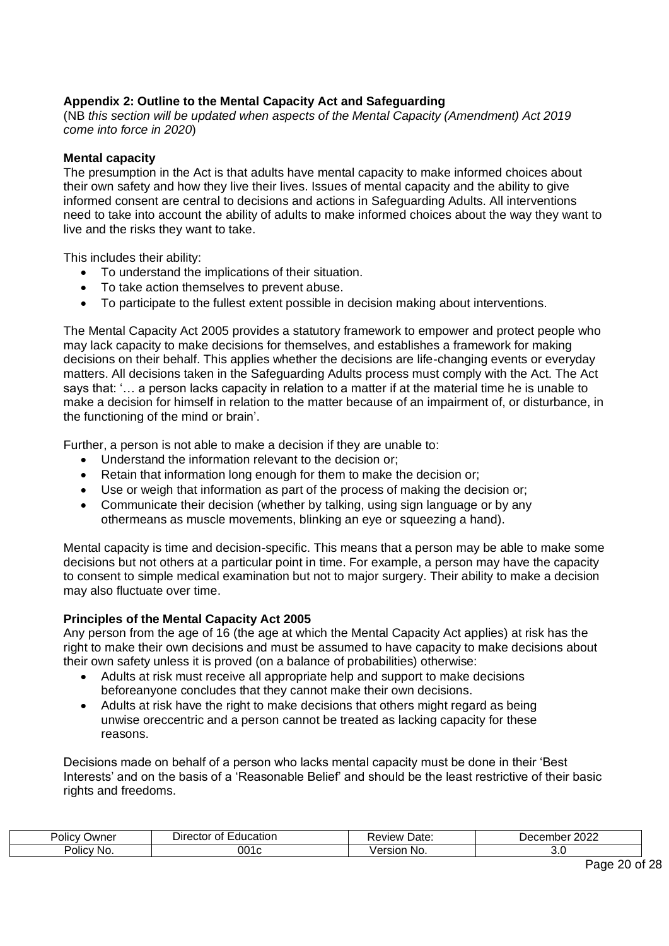# <span id="page-19-0"></span>**Appendix 2: Outline to the Mental Capacity Act and Safeguarding**

(NB *this section will be updated when aspects of the Mental Capacity (Amendment) Act 2019 come into force in 2020*)

#### **Mental capacity**

The presumption in the Act is that adults have mental capacity to make informed choices about their own safety and how they live their lives. Issues of mental capacity and the ability to give informed consent are central to decisions and actions in Safeguarding Adults. All interventions need to take into account the ability of adults to make informed choices about the way they want to live and the risks they want to take.

This includes their ability:

- To understand the implications of their situation.
- To take action themselves to prevent abuse.
- To participate to the fullest extent possible in decision making about interventions.

The Mental Capacity Act 2005 provides a statutory framework to empower and protect people who may lack capacity to make decisions for themselves, and establishes a framework for making decisions on their behalf. This applies whether the decisions are life-changing events or everyday matters. All decisions taken in the Safeguarding Adults process must comply with the Act. The Act says that: '… a person lacks capacity in relation to a matter if at the material time he is unable to make a decision for himself in relation to the matter because of an impairment of, or disturbance, in the functioning of the mind or brain'.

Further, a person is not able to make a decision if they are unable to:

- Understand the information relevant to the decision or;
- Retain that information long enough for them to make the decision or;
- Use or weigh that information as part of the process of making the decision or;
- Communicate their decision (whether by talking, using sign language or by any othermeans as muscle movements, blinking an eye or squeezing a hand).

Mental capacity is time and decision-specific. This means that a person may be able to make some decisions but not others at a particular point in time. For example, a person may have the capacity to consent to simple medical examination but not to major surgery. Their ability to make a decision may also fluctuate over time.

#### **Principles of the Mental Capacity Act 2005**

Any person from the age of 16 (the age at which the Mental Capacity Act applies) at risk has the right to make their own decisions and must be assumed to have capacity to make decisions about their own safety unless it is proved (on a balance of probabilities) otherwise:

- Adults at risk must receive all appropriate help and support to make decisions beforeanyone concludes that they cannot make their own decisions.
- Adults at risk have the right to make decisions that others might regard as being unwise oreccentric and a person cannot be treated as lacking capacity for these reasons.

Decisions made on behalf of a person who lacks mental capacity must be done in their 'Best Interests' and on the basis of a 'Reasonable Belief' and should be the least restrictive of their basic rights and freedoms.

| Policy<br>⊃wner           | -ducatior<br>Ωt<br>۱۱۲<br>жн<br>. . | .<br>Date:<br>wev:<br>Лc | nnnn<br>nber.<br>LULL |
|---------------------------|-------------------------------------|--------------------------|-----------------------|
| $\cdots$<br>Polic'<br>NO. | ⊿∩<br>.                             | - NO<br>510              | J.J                   |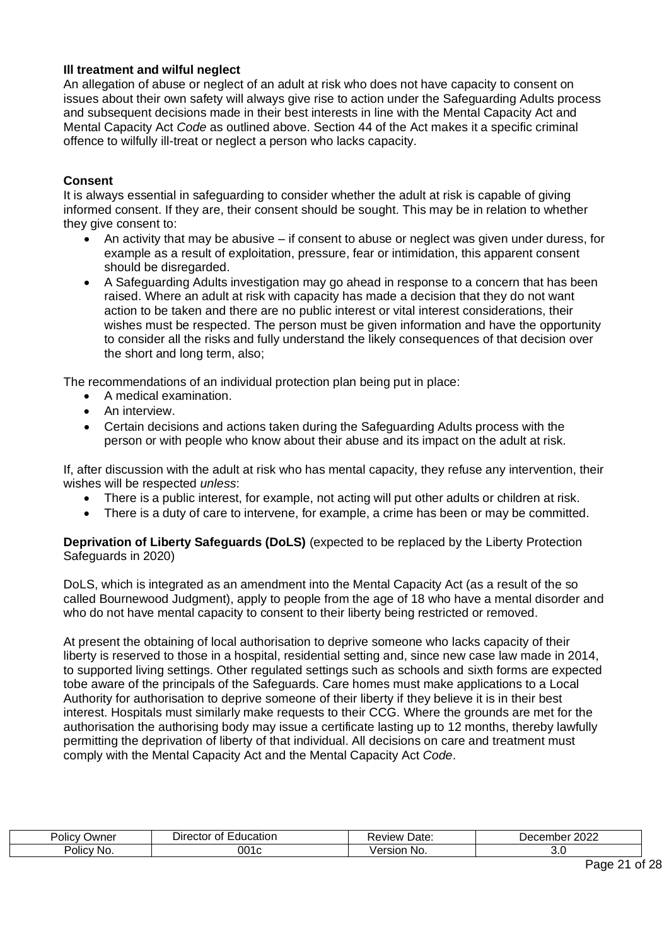# **Ill treatment and wilful neglect**

An allegation of abuse or neglect of an adult at risk who does not have capacity to consent on issues about their own safety will always give rise to action under the Safeguarding Adults process and subsequent decisions made in their best interests in line with the Mental Capacity Act and Mental Capacity Act *Code* as outlined above. Section 44 of the Act makes it a specific criminal offence to wilfully ill-treat or neglect a person who lacks capacity.

#### **Consent**

It is always essential in safeguarding to consider whether the adult at risk is capable of giving informed consent. If they are, their consent should be sought. This may be in relation to whether they give consent to:

- An activity that may be abusive if consent to abuse or neglect was given under duress, for example as a result of exploitation, pressure, fear or intimidation, this apparent consent should be disregarded.
- A Safeguarding Adults investigation may go ahead in response to a concern that has been raised. Where an adult at risk with capacity has made a decision that they do not want action to be taken and there are no public interest or vital interest considerations, their wishes must be respected. The person must be given information and have the opportunity to consider all the risks and fully understand the likely consequences of that decision over the short and long term, also;

The recommendations of an individual protection plan being put in place:

- A medical examination.
- An interview.
- Certain decisions and actions taken during the Safeguarding Adults process with the person or with people who know about their abuse and its impact on the adult at risk.

If, after discussion with the adult at risk who has mental capacity, they refuse any intervention, their wishes will be respected *unless*:

- There is a public interest, for example, not acting will put other adults or children at risk.
- There is a duty of care to intervene, for example, a crime has been or may be committed.

**Deprivation of Liberty Safeguards (DoLS)** (expected to be replaced by the Liberty Protection Safeguards in 2020)

DoLS, which is integrated as an amendment into the Mental Capacity Act (as a result of the so called Bournewood Judgment), apply to people from the age of 18 who have a mental disorder and who do not have mental capacity to consent to their liberty being restricted or removed.

At present the obtaining of local authorisation to deprive someone who lacks capacity of their liberty is reserved to those in a hospital, residential setting and, since new case law made in 2014, to supported living settings. Other regulated settings such as schools and sixth forms are expected tobe aware of the principals of the Safeguards. Care homes must make applications to a Local Authority for authorisation to deprive someone of their liberty if they believe it is in their best interest. Hospitals must similarly make requests to their CCG. Where the grounds are met for the authorisation the authorising body may issue a certificate lasting up to 12 months, thereby lawfully permitting the deprivation of liberty of that individual. All decisions on care and treatment must comply with the Mental Capacity Act and the Mental Capacity Act *Code*.

| Polic.<br>Owner           | 'cation<br>. Jir<br>ΩТ<br>ΠL<br>лог | Date:<br>…eview ∙ ∶    | <b>0000</b><br>Decr.<br>∍r<br>. ت ۱<br>IIUGI<br>ZUZZ<br>. |
|---------------------------|-------------------------------------|------------------------|-----------------------------------------------------------|
| . .<br>-<br>Policy<br>NO. | . .                                 | .<br>sior<br><b>NO</b> | J.J                                                       |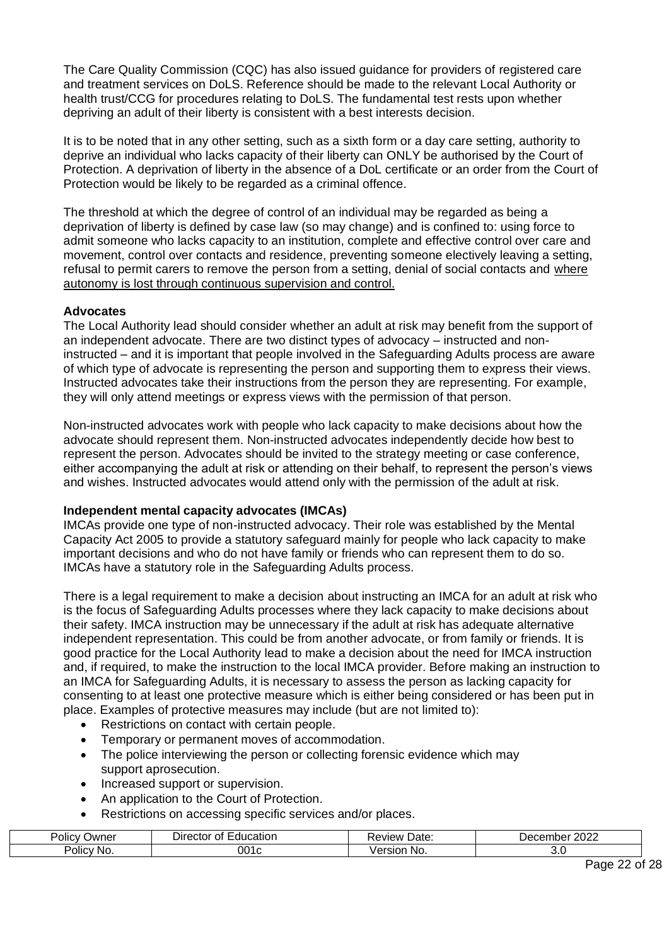The Care Quality Commission (CQC) has also issued guidance for providers of registered care and treatment services on DoLS. Reference should be made to the relevant Local Authority or health trust/CCG for procedures relating to DoLS. The fundamental test rests upon whether depriving an adult of their liberty is consistent with a best interests decision.

It is to be noted that in any other setting, such as a sixth form or a day care setting, authority to deprive an individual who lacks capacity of their liberty can ONLY be authorised by the Court of Protection. A deprivation of liberty in the absence of a DoL certificate or an order from the Court of Protection would be likely to be regarded as a criminal offence.

The threshold at which the degree of control of an individual may be regarded as being a deprivation of liberty is defined by case law (so may change) and is confined to: using force to admit someone who lacks capacity to an institution, complete and effective control over care and movement, control over contacts and residence, preventing someone electively leaving a setting, refusal to permit carers to remove the person from a setting, denial of social contacts and where autonomy is lost through continuous supervision and control.

#### **Advocates**

The Local Authority lead should consider whether an adult at risk may benefit from the support of an independent advocate. There are two distinct types of advocacy – instructed and noninstructed – and it is important that people involved in the Safeguarding Adults process are aware of which type of advocate is representing the person and supporting them to express their views. Instructed advocates take their instructions from the person they are representing. For example, they will only attend meetings or express views with the permission of that person.

Non-instructed advocates work with people who lack capacity to make decisions about how the advocate should represent them. Non-instructed advocates independently decide how best to represent the person. Advocates should be invited to the strategy meeting or case conference, either accompanying the adult at risk or attending on their behalf, to represent the person's views and wishes. Instructed advocates would attend only with the permission of the adult at risk.

#### **Independent mental capacity advocates (IMCAs)**

IMCAs provide one type of non-instructed advocacy. Their role was established by the Mental Capacity Act 2005 to provide a statutory safeguard mainly for people who lack capacity to make important decisions and who do not have family or friends who can represent them to do so. IMCAs have a statutory role in the Safeguarding Adults process.

There is a legal requirement to make a decision about instructing an IMCA for an adult at risk who is the focus of Safeguarding Adults processes where they lack capacity to make decisions about their safety. IMCA instruction may be unnecessary if the adult at risk has adequate alternative independent representation. This could be from another advocate, or from family or friends. It is good practice for the Local Authority lead to make a decision about the need for IMCA instruction and, if required, to make the instruction to the local IMCA provider. Before making an instruction to an IMCA for Safeguarding Adults, it is necessary to assess the person as lacking capacity for consenting to at least one protective measure which is either being considered or has been put in place. Examples of protective measures may include (but are not limited to):

- Restrictions on contact with certain people.
- Temporary or permanent moves of accommodation.
- The police interviewing the person or collecting forensic evidence which may support aprosecution.
- Increased support or supervision.
- An application to the Court of Protection.
- Restrictions on accessing specific services and/or places.

| <b>POIICV</b><br>⊃wner | -<br>Education<br>$D$ irector<br>Οt | Date:<br>≺eview                            | . oooc<br>nber<br>Decer<br>LULL |
|------------------------|-------------------------------------|--------------------------------------------|---------------------------------|
| Policy<br>NO.          | 001<br>.                            | $I$ $\alpha$ r $\alpha$<br>No.<br>יות<br>◡ | J.U                             |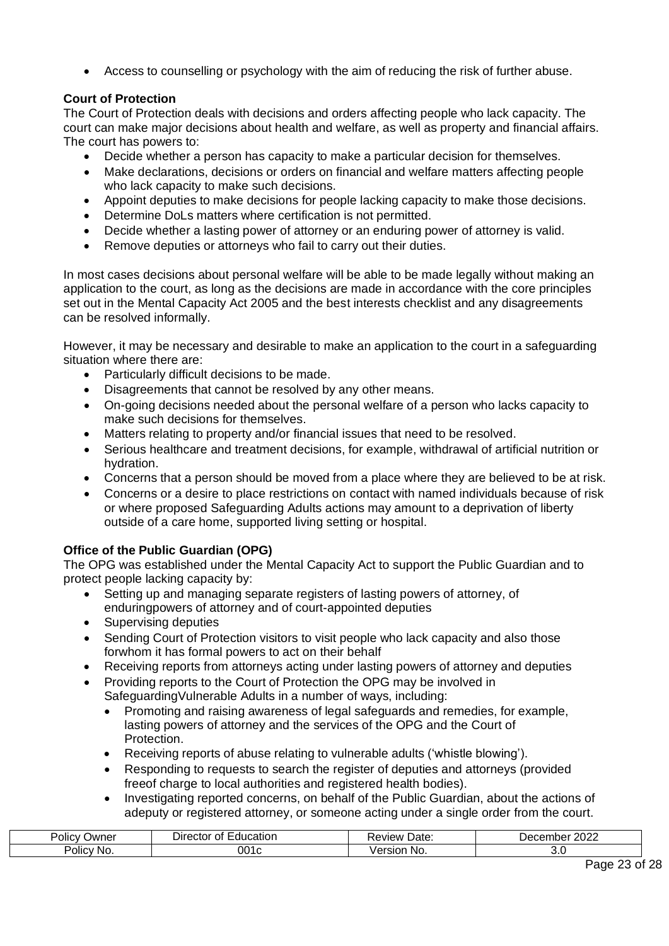• Access to counselling or psychology with the aim of reducing the risk of further abuse.

# **Court of Protection**

The Court of Protection deals with decisions and orders affecting people who lack capacity. The court can make major decisions about health and welfare, as well as property and financial affairs. The court has powers to:

- Decide whether a person has capacity to make a particular decision for themselves.
- Make declarations, decisions or orders on financial and welfare matters affecting people who lack capacity to make such decisions.
- Appoint deputies to make decisions for people lacking capacity to make those decisions.
- Determine DoLs matters where certification is not permitted.
- Decide whether a lasting power of attorney or an enduring power of attorney is valid.
- Remove deputies or attorneys who fail to carry out their duties.

In most cases decisions about personal welfare will be able to be made legally without making an application to the court, as long as the decisions are made in accordance with the core principles set out in the Mental Capacity Act 2005 and the best interests checklist and any disagreements can be resolved informally.

However, it may be necessary and desirable to make an application to the court in a safeguarding situation where there are:

- Particularly difficult decisions to be made.
- Disagreements that cannot be resolved by any other means.
- On-going decisions needed about the personal welfare of a person who lacks capacity to make such decisions for themselves.
- Matters relating to property and/or financial issues that need to be resolved.
- Serious healthcare and treatment decisions, for example, withdrawal of artificial nutrition or hydration.
- Concerns that a person should be moved from a place where they are believed to be at risk.
- Concerns or a desire to place restrictions on contact with named individuals because of risk or where proposed Safeguarding Adults actions may amount to a deprivation of liberty outside of a care home, supported living setting or hospital.

# **Office of the Public Guardian (OPG)**

The OPG was established under the Mental Capacity Act to support the Public Guardian and to protect people lacking capacity by:

- Setting up and managing separate registers of lasting powers of attorney, of enduringpowers of attorney and of court-appointed deputies
- Supervising deputies
- Sending Court of Protection visitors to visit people who lack capacity and also those forwhom it has formal powers to act on their behalf
- Receiving reports from attorneys acting under lasting powers of attorney and deputies
- Providing reports to the Court of Protection the OPG may be involved in SafeguardingVulnerable Adults in a number of ways, including:
	- Promoting and raising awareness of legal safeguards and remedies, for example, lasting powers of attorney and the services of the OPG and the Court of Protection.
	- Receiving reports of abuse relating to vulnerable adults ('whistle blowing').
	- Responding to requests to search the register of deputies and attorneys (provided freeof charge to local authorities and registered health bodies).
	- Investigating reported concerns, on behalf of the Public Guardian, about the actions of adeputy or registered attorney, or someone acting under a single order from the court.

| -<br>Policy<br>Jwner | :ducation<br>~*<br>וונ<br>стог<br>O | Date:<br>…eview ⊑` | nnne<br>,<br>uci<br>LULL |
|----------------------|-------------------------------------|--------------------|--------------------------|
| .<br>Policy:<br>∵No. | 001c                                | ` NO.<br>SIO.      | ◡.                       |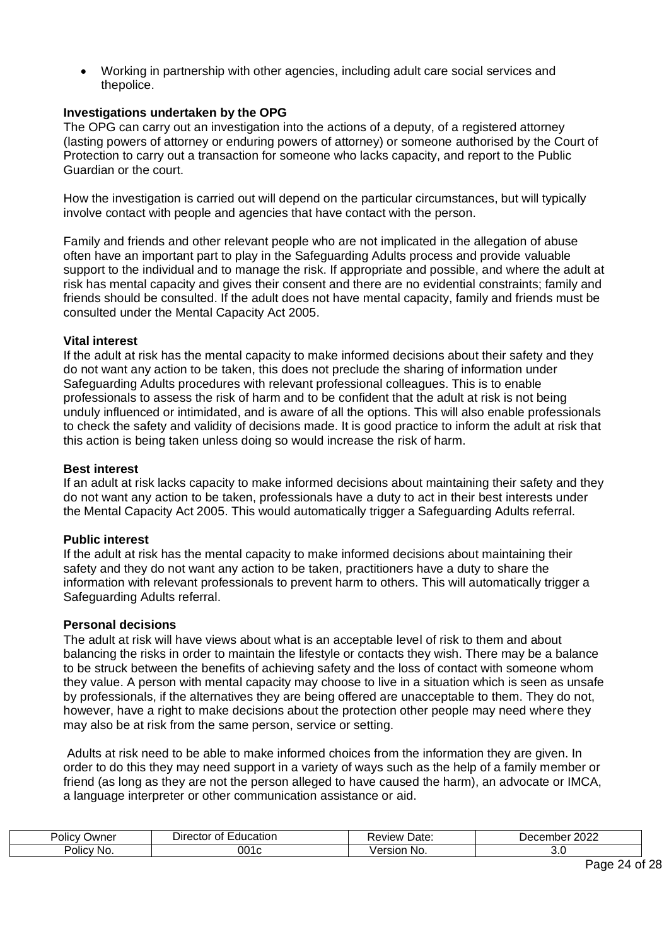• Working in partnership with other agencies, including adult care social services and thepolice.

#### **Investigations undertaken by the OPG**

The OPG can carry out an investigation into the actions of a deputy, of a registered attorney (lasting powers of attorney or enduring powers of attorney) or someone authorised by the Court of Protection to carry out a transaction for someone who lacks capacity, and report to the Public Guardian or the court.

How the investigation is carried out will depend on the particular circumstances, but will typically involve contact with people and agencies that have contact with the person.

Family and friends and other relevant people who are not implicated in the allegation of abuse often have an important part to play in the Safeguarding Adults process and provide valuable support to the individual and to manage the risk. If appropriate and possible, and where the adult at risk has mental capacity and gives their consent and there are no evidential constraints; family and friends should be consulted. If the adult does not have mental capacity, family and friends must be consulted under the Mental Capacity Act 2005.

#### **Vital interest**

If the adult at risk has the mental capacity to make informed decisions about their safety and they do not want any action to be taken, this does not preclude the sharing of information under Safeguarding Adults procedures with relevant professional colleagues. This is to enable professionals to assess the risk of harm and to be confident that the adult at risk is not being unduly influenced or intimidated, and is aware of all the options. This will also enable professionals to check the safety and validity of decisions made. It is good practice to inform the adult at risk that this action is being taken unless doing so would increase the risk of harm.

#### **Best interest**

If an adult at risk lacks capacity to make informed decisions about maintaining their safety and they do not want any action to be taken, professionals have a duty to act in their best interests under the Mental Capacity Act 2005. This would automatically trigger a Safeguarding Adults referral.

#### **Public interest**

If the adult at risk has the mental capacity to make informed decisions about maintaining their safety and they do not want any action to be taken, practitioners have a duty to share the information with relevant professionals to prevent harm to others. This will automatically trigger a Safeguarding Adults referral.

#### **Personal decisions**

The adult at risk will have views about what is an acceptable level of risk to them and about balancing the risks in order to maintain the lifestyle or contacts they wish. There may be a balance to be struck between the benefits of achieving safety and the loss of contact with someone whom they value. A person with mental capacity may choose to live in a situation which is seen as unsafe by professionals, if the alternatives they are being offered are unacceptable to them. They do not, however, have a right to make decisions about the protection other people may need where they may also be at risk from the same person, service or setting.

Adults at risk need to be able to make informed choices from the information they are given. In order to do this they may need support in a variety of ways such as the help of a family member or friend (as long as they are not the person alleged to have caused the harm), an advocate or IMCA, a language interpreter or other communication assistance or aid.

| ⊃wner<br>JIIC' | . .<br>лrec<br>Ωt<br>CTOI<br>$\sim$<br>- 17 | Date:<br>'iew<br>$\mathbf{v}$ | ∩∩∩<br>--<br>- יווטכ<br>$\sqrt{2}$<br>LULL |
|----------------|---------------------------------------------|-------------------------------|--------------------------------------------|
| Policy<br>.NG  | ገ01                                         | .<br>INO.<br>sım              | v.v                                        |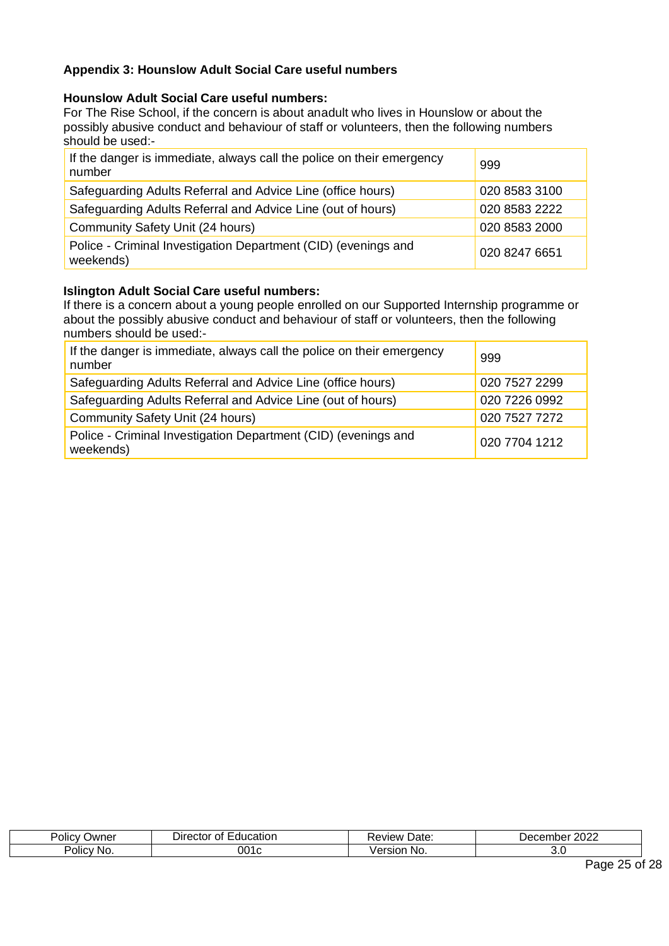# <span id="page-24-0"></span>**Appendix 3: Hounslow Adult Social Care useful numbers**

#### **Hounslow Adult Social Care useful numbers:**

For The Rise School, if the concern is about anadult who lives in Hounslow or about the possibly abusive conduct and behaviour of staff or volunteers, then the following numbers should be used:-

| If the danger is immediate, always call the police on their emergency<br>number | 999           |
|---------------------------------------------------------------------------------|---------------|
| Safeguarding Adults Referral and Advice Line (office hours)                     | 020 8583 3100 |
| Safeguarding Adults Referral and Advice Line (out of hours)                     | 020 8583 2222 |
| Community Safety Unit (24 hours)                                                | 020 8583 2000 |
| Police - Criminal Investigation Department (CID) (evenings and<br>weekends)     | 020 8247 6651 |

#### **Islington Adult Social Care useful numbers:**

If there is a concern about a young people enrolled on our Supported Internship programme or about the possibly abusive conduct and behaviour of staff or volunteers, then the following numbers should be used:-

| If the danger is immediate, always call the police on their emergency<br>number | 999           |
|---------------------------------------------------------------------------------|---------------|
| Safeguarding Adults Referral and Advice Line (office hours)                     | 020 7527 2299 |
| Safeguarding Adults Referral and Advice Line (out of hours)                     | 020 7226 0992 |
| Community Safety Unit (24 hours)                                                | 020 7527 7272 |
| Police - Criminal Investigation Department (CID) (evenings and<br>weekends)     | 020 7704 1212 |

| <br>-<br>$\overline{\phantom{a}}$<br>Owner<br>olicy | Director<br>--<br>ΠL.<br>catior<br>л | Date:<br>view  | ∩ר∩ר<br>---<br>Jer<br>ndei<br>ZUZZ |
|-----------------------------------------------------|--------------------------------------|----------------|------------------------------------|
| -<br>. .<br><b>Policy</b><br>NO.                    |                                      | N<br>SIC<br>`` | J.J                                |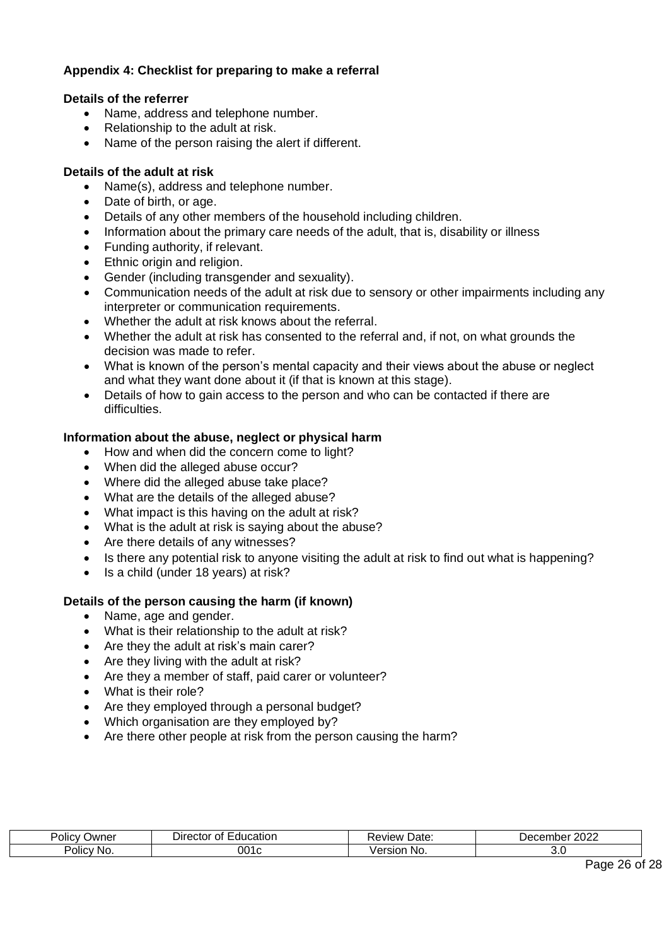# <span id="page-25-0"></span>**Appendix 4: Checklist for preparing to make a referral**

#### **Details of the referrer**

- Name, address and telephone number.
- Relationship to the adult at risk.
- Name of the person raising the alert if different.

#### **Details of the adult at risk**

- Name(s), address and telephone number.
- Date of birth, or age.
- Details of any other members of the household including children.
- Information about the primary care needs of the adult, that is, disability or illness
- Funding authority, if relevant.
- Ethnic origin and religion.
- Gender (including transgender and sexuality).
- Communication needs of the adult at risk due to sensory or other impairments including any interpreter or communication requirements.
- Whether the adult at risk knows about the referral.
- Whether the adult at risk has consented to the referral and, if not, on what grounds the decision was made to refer.
- What is known of the person's mental capacity and their views about the abuse or neglect and what they want done about it (if that is known at this stage).
- Details of how to gain access to the person and who can be contacted if there are difficulties.

#### **Information about the abuse, neglect or physical harm**

- How and when did the concern come to light?
- When did the alleged abuse occur?
- Where did the alleged abuse take place?
- What are the details of the alleged abuse?
- What impact is this having on the adult at risk?
- What is the adult at risk is saying about the abuse?
- Are there details of any witnesses?
- Is there any potential risk to anyone visiting the adult at risk to find out what is happening?
- Is a child (under 18 years) at risk?

#### **Details of the person causing the harm (if known)**

- Name, age and gender.
- What is their relationship to the adult at risk?
- Are they the adult at risk's main carer?
- Are they living with the adult at risk?
- Are they a member of staff, paid carer or volunteer?
- What is their role?
- Are they employed through a personal budget?
- Which organisation are they employed by?
- Are there other people at risk from the person causing the harm?

| 'olic<br>⊃wner | 1001105<br>$\mathbf{u}$<br>н э<br>ЭΙ<br>0 H<br>яшл | 1101<br>Date<br>eview               | $\sim$<br>⊃er<br>moei<br>ZUZZ |
|----------------|----------------------------------------------------|-------------------------------------|-------------------------------|
| Policy<br>∵No. | ົາາ                                                | $\sim$ $\sim$ $\sim$<br>NO.<br>sion | J.J                           |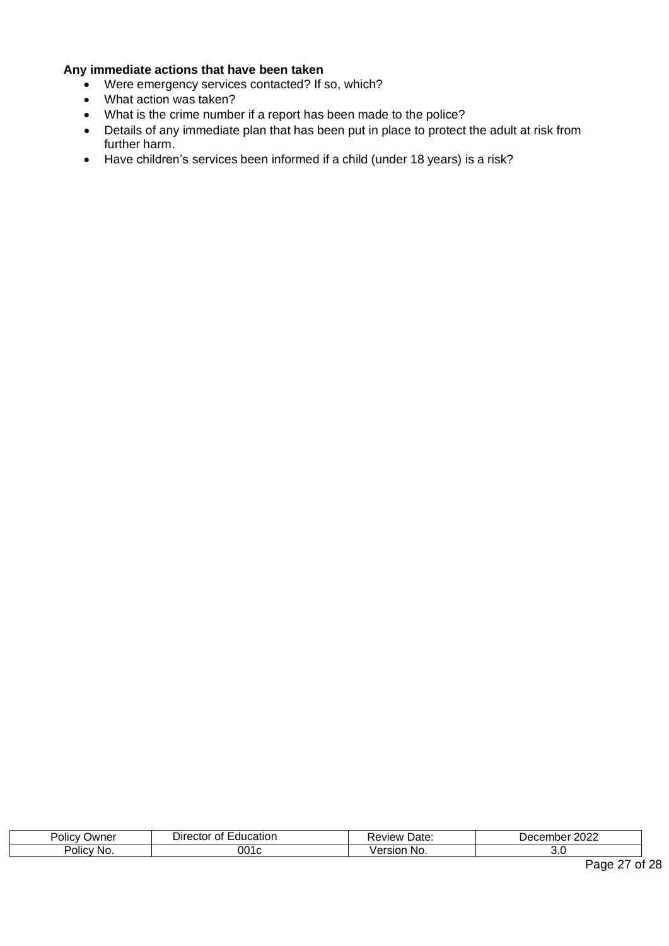#### **Any immediate actions that have been taken**

- Were emergency services contacted? If so, which?
- What action was taken?
- What is the crime number if a report has been made to the police?
- Details of any immediate plan that has been put in place to protect the adult at risk from further harm.
- Have children's services been informed if a child (under 18 years) is a risk?

| -<br>שמעΩ<br>$\cdot$<br>Olic\ | $\qquad \qquad$<br>ector<br>ication<br>.nt<br>ال.<br>,,,, | Date<br>$v$ iew                 | 2022<br>$-$<br>Jec.<br>TIDEI<br>- 11<br>- - - - |
|-------------------------------|-----------------------------------------------------------|---------------------------------|-------------------------------------------------|
| -<br>Policy No.               |                                                           | - -- - - - -<br>No.<br>. .<br>. | ັ.                                              |